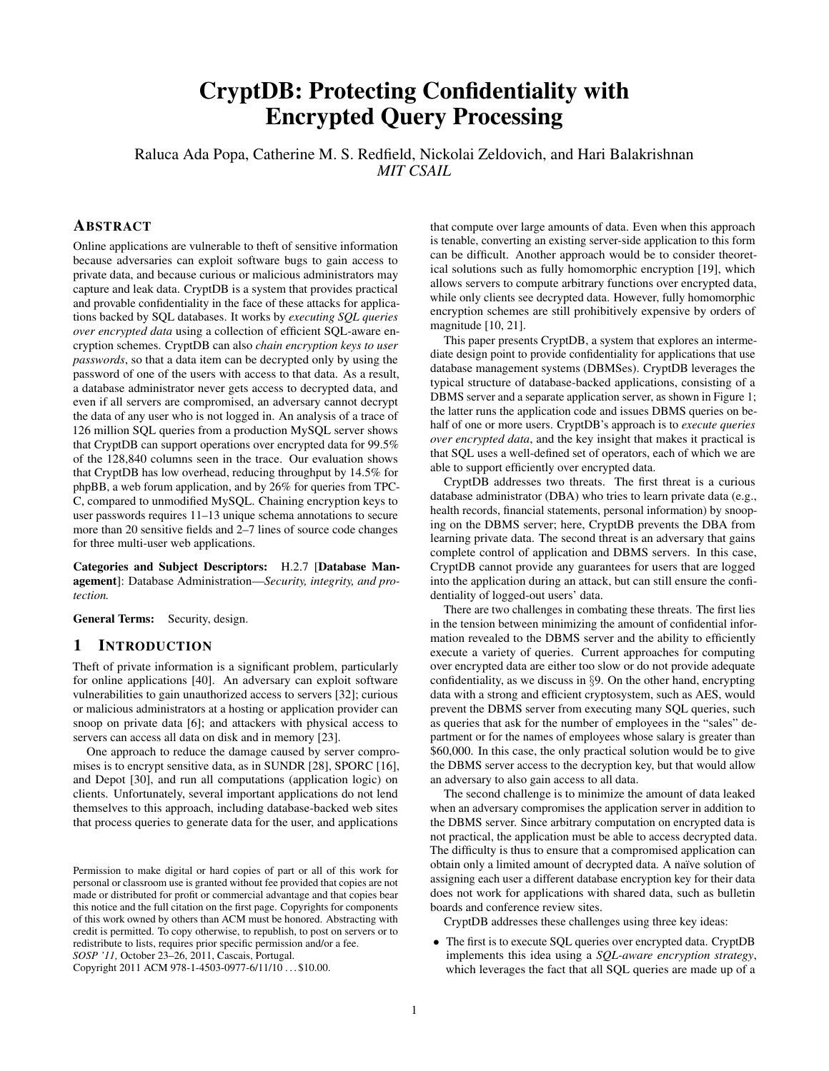# CryptDB: Protecting Confidentiality with Encrypted Query Processing

Raluca Ada Popa, Catherine M. S. Redfield, Nickolai Zeldovich, and Hari Balakrishnan *MIT CSAIL*

# **ABSTRACT**

Online applications are vulnerable to theft of sensitive information because adversaries can exploit software bugs to gain access to private data, and because curious or malicious administrators may capture and leak data. CryptDB is a system that provides practical and provable confidentiality in the face of these attacks for applications backed by SQL databases. It works by *executing SQL queries over encrypted data* using a collection of efficient SQL-aware encryption schemes. CryptDB can also *chain encryption keys to user passwords*, so that a data item can be decrypted only by using the password of one of the users with access to that data. As a result, a database administrator never gets access to decrypted data, and even if all servers are compromised, an adversary cannot decrypt the data of any user who is not logged in. An analysis of a trace of 126 million SQL queries from a production MySQL server shows that CryptDB can support operations over encrypted data for 99.5% of the 128,840 columns seen in the trace. Our evaluation shows that CryptDB has low overhead, reducing throughput by 14.5% for phpBB, a web forum application, and by 26% for queries from TPC-C, compared to unmodified MySQL. Chaining encryption keys to user passwords requires 11–13 unique schema annotations to secure more than 20 sensitive fields and 2–7 lines of source code changes for three multi-user web applications.

Categories and Subject Descriptors: H.2.7 [Database Management]: Database Administration—*Security, integrity, and protection.*

General Terms: Security, design.

# 1 INTRODUCTION

Theft of private information is a significant problem, particularly for online applications [\[40\]](#page-15-0). An adversary can exploit software vulnerabilities to gain unauthorized access to servers [\[32\]](#page-15-1); curious or malicious administrators at a hosting or application provider can snoop on private data [\[6\]](#page-14-0); and attackers with physical access to servers can access all data on disk and in memory [\[23\]](#page-15-2).

One approach to reduce the damage caused by server compromises is to encrypt sensitive data, as in SUNDR [\[28\]](#page-15-3), SPORC [\[16\]](#page-15-4), and Depot [\[30\]](#page-15-5), and run all computations (application logic) on clients. Unfortunately, several important applications do not lend themselves to this approach, including database-backed web sites that process queries to generate data for the user, and applications

Copyright 2011 ACM 978-1-4503-0977-6/11/10 . . . \$10.00.

that compute over large amounts of data. Even when this approach is tenable, converting an existing server-side application to this form can be difficult. Another approach would be to consider theoretical solutions such as fully homomorphic encryption [\[19\]](#page-15-6), which allows servers to compute arbitrary functions over encrypted data, while only clients see decrypted data. However, fully homomorphic encryption schemes are still prohibitively expensive by orders of magnitude [\[10,](#page-14-1) [21\]](#page-15-7).

This paper presents CryptDB, a system that explores an intermediate design point to provide confidentiality for applications that use database management systems (DBMSes). CryptDB leverages the typical structure of database-backed applications, consisting of a DBMS server and a separate application server, as shown in Figure [1;](#page-1-0) the latter runs the application code and issues DBMS queries on behalf of one or more users. CryptDB's approach is to *execute queries over encrypted data*, and the key insight that makes it practical is that SQL uses a well-defined set of operators, each of which we are able to support efficiently over encrypted data.

CryptDB addresses two threats. The first threat is a curious database administrator (DBA) who tries to learn private data (e.g., health records, financial statements, personal information) by snooping on the DBMS server; here, CryptDB prevents the DBA from learning private data. The second threat is an adversary that gains complete control of application and DBMS servers. In this case, CryptDB cannot provide any guarantees for users that are logged into the application during an attack, but can still ensure the confidentiality of logged-out users' data.

There are two challenges in combating these threats. The first lies in the tension between minimizing the amount of confidential information revealed to the DBMS server and the ability to efficiently execute a variety of queries. Current approaches for computing over encrypted data are either too slow or do not provide adequate confidentiality, as we discuss in  $\S$ [9.](#page-13-0) On the other hand, encrypting data with a strong and efficient cryptosystem, such as AES, would prevent the DBMS server from executing many SQL queries, such as queries that ask for the number of employees in the "sales" department or for the names of employees whose salary is greater than \$60,000. In this case, the only practical solution would be to give the DBMS server access to the decryption key, but that would allow an adversary to also gain access to all data.

The second challenge is to minimize the amount of data leaked when an adversary compromises the application server in addition to the DBMS server. Since arbitrary computation on encrypted data is not practical, the application must be able to access decrypted data. The difficulty is thus to ensure that a compromised application can obtain only a limited amount of decrypted data. A naïve solution of assigning each user a different database encryption key for their data does not work for applications with shared data, such as bulletin boards and conference review sites.

CryptDB addresses these challenges using three key ideas:

• The first is to execute SQL queries over encrypted data. CryptDB implements this idea using a *SQL-aware encryption strategy*, which leverages the fact that all SQL queries are made up of a

Permission to make digital or hard copies of part or all of this work for personal or classroom use is granted without fee provided that copies are not made or distributed for profit or commercial advantage and that copies bear this notice and the full citation on the first page. Copyrights for components of this work owned by others than ACM must be honored. Abstracting with credit is permitted. To copy otherwise, to republish, to post on servers or to redistribute to lists, requires prior specific permission and/or a fee. *SOSP '11,* October 23–26, 2011, Cascais, Portugal.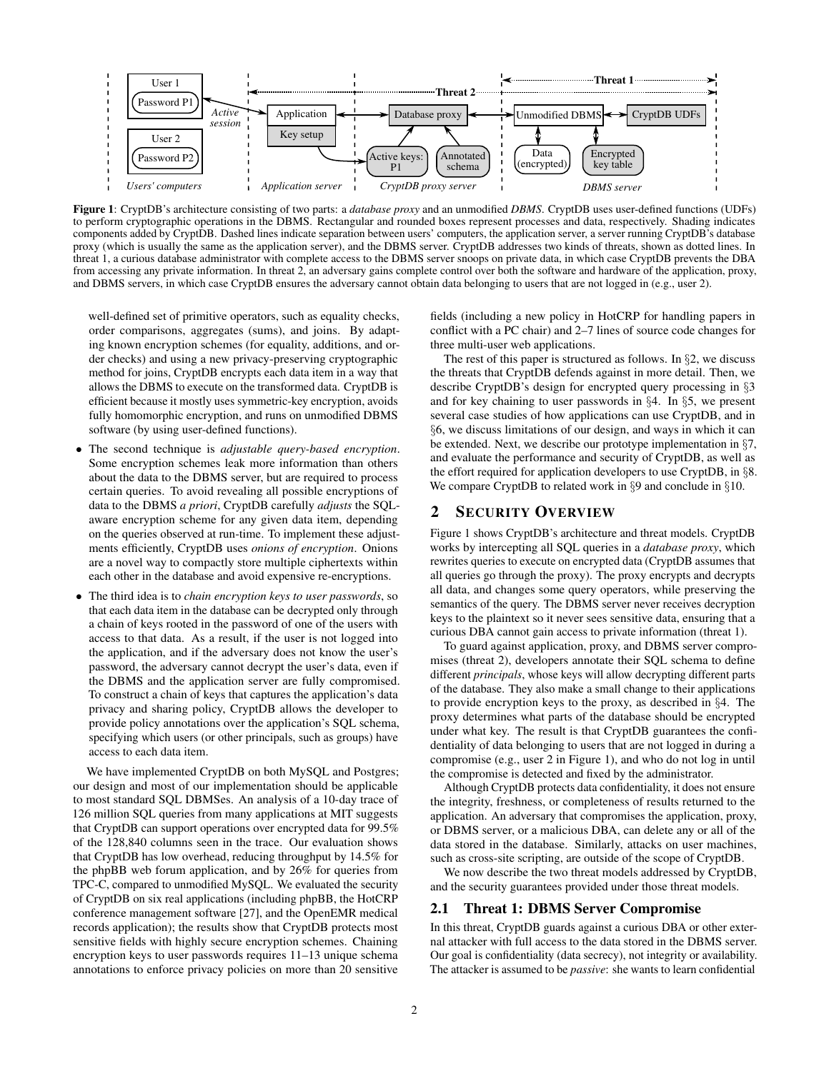

Figure 1: CryptDB's architecture consisting of two parts: a *database proxy* and an unmodified *DBMS*. CryptDB uses user-defined functions (UDFs) to perform cryptographic operations in the DBMS. Rectangular and rounded boxes represent processes and data, respectively. Shading indicates components added by CryptDB. Dashed lines indicate separation between users' computers, the application server, a server running CryptDB's database proxy (which is usually the same as the application server), and the DBMS server. CryptDB addresses two kinds of threats, shown as dotted lines. In threat 1, a curious database administrator with complete access to the DBMS server snoops on private data, in which case CryptDB prevents the DBA from accessing any private information. In threat 2, an adversary gains complete control over both the software and hardware of the application, proxy, and DBMS servers, in which case CryptDB ensures the adversary cannot obtain data belonging to users that are not logged in (e.g., user 2).

well-defined set of primitive operators, such as equality checks, order comparisons, aggregates (sums), and joins. By adapting known encryption schemes (for equality, additions, and order checks) and using a new privacy-preserving cryptographic method for joins, CryptDB encrypts each data item in a way that allows the DBMS to execute on the transformed data. CryptDB is efficient because it mostly uses symmetric-key encryption, avoids fully homomorphic encryption, and runs on unmodified DBMS software (by using user-defined functions).

- The second technique is *adjustable query-based encryption*. Some encryption schemes leak more information than others about the data to the DBMS server, but are required to process certain queries. To avoid revealing all possible encryptions of data to the DBMS *a priori*, CryptDB carefully *adjusts* the SQLaware encryption scheme for any given data item, depending on the queries observed at run-time. To implement these adjustments efficiently, CryptDB uses *onions of encryption*. Onions are a novel way to compactly store multiple ciphertexts within each other in the database and avoid expensive re-encryptions.
- The third idea is to *chain encryption keys to user passwords*, so that each data item in the database can be decrypted only through a chain of keys rooted in the password of one of the users with access to that data. As a result, if the user is not logged into the application, and if the adversary does not know the user's password, the adversary cannot decrypt the user's data, even if the DBMS and the application server are fully compromised. To construct a chain of keys that captures the application's data privacy and sharing policy, CryptDB allows the developer to provide policy annotations over the application's SQL schema, specifying which users (or other principals, such as groups) have access to each data item.

We have implemented CryptDB on both MySQL and Postgres; our design and most of our implementation should be applicable to most standard SQL DBMSes. An analysis of a 10-day trace of 126 million SQL queries from many applications at MIT suggests that CryptDB can support operations over encrypted data for 99.5% of the 128,840 columns seen in the trace. Our evaluation shows that CryptDB has low overhead, reducing throughput by 14.5% for the phpBB web forum application, and by 26% for queries from TPC-C, compared to unmodified MySQL. We evaluated the security of CryptDB on six real applications (including phpBB, the HotCRP conference management software [\[27\]](#page-15-8), and the OpenEMR medical records application); the results show that CryptDB protects most sensitive fields with highly secure encryption schemes. Chaining encryption keys to user passwords requires 11–13 unique schema annotations to enforce privacy policies on more than 20 sensitive

<span id="page-1-0"></span>fields (including a new policy in HotCRP for handling papers in conflict with a PC chair) and 2–7 lines of source code changes for three multi-user web applications.

The rest of this paper is structured as follows. In  $\S$ [2,](#page-1-1) we discuss the threats that CryptDB defends against in more detail. Then, we describe CryptDB's design for encrypted query processing in §[3](#page-2-0) and for key chaining to user passwords in §[4.](#page-7-0) In §[5,](#page-8-0) we present several case studies of how applications can use CryptDB, and in §[6,](#page-9-0) we discuss limitations of our design, and ways in which it can be extended. Next, we describe our prototype implementation in §[7,](#page-9-1) and evaluate the performance and security of CryptDB, as well as the effort required for application developers to use CryptDB, in §[8.](#page-10-0) We compare CryptDB to related work in  $\S9$  $\S9$  and conclude in  $\S10$ .

# <span id="page-1-1"></span>2 SECURITY OVERVIEW

Figure [1](#page-1-0) shows CryptDB's architecture and threat models. CryptDB works by intercepting all SQL queries in a *database proxy*, which rewrites queries to execute on encrypted data (CryptDB assumes that all queries go through the proxy). The proxy encrypts and decrypts all data, and changes some query operators, while preserving the semantics of the query. The DBMS server never receives decryption keys to the plaintext so it never sees sensitive data, ensuring that a curious DBA cannot gain access to private information (threat 1).

To guard against application, proxy, and DBMS server compromises (threat 2), developers annotate their SQL schema to define different *principals*, whose keys will allow decrypting different parts of the database. They also make a small change to their applications to provide encryption keys to the proxy, as described in §[4.](#page-7-0) The proxy determines what parts of the database should be encrypted under what key. The result is that CryptDB guarantees the confidentiality of data belonging to users that are not logged in during a compromise (e.g., user 2 in Figure [1\)](#page-1-0), and who do not log in until the compromise is detected and fixed by the administrator.

Although CryptDB protects data confidentiality, it does not ensure the integrity, freshness, or completeness of results returned to the application. An adversary that compromises the application, proxy, or DBMS server, or a malicious DBA, can delete any or all of the data stored in the database. Similarly, attacks on user machines, such as cross-site scripting, are outside of the scope of CryptDB.

We now describe the two threat models addressed by CryptDB, and the security guarantees provided under those threat models.

#### <span id="page-1-2"></span>2.1 Threat 1: DBMS Server Compromise

In this threat, CryptDB guards against a curious DBA or other external attacker with full access to the data stored in the DBMS server. Our goal is confidentiality (data secrecy), not integrity or availability. The attacker is assumed to be *passive*: she wants to learn confidential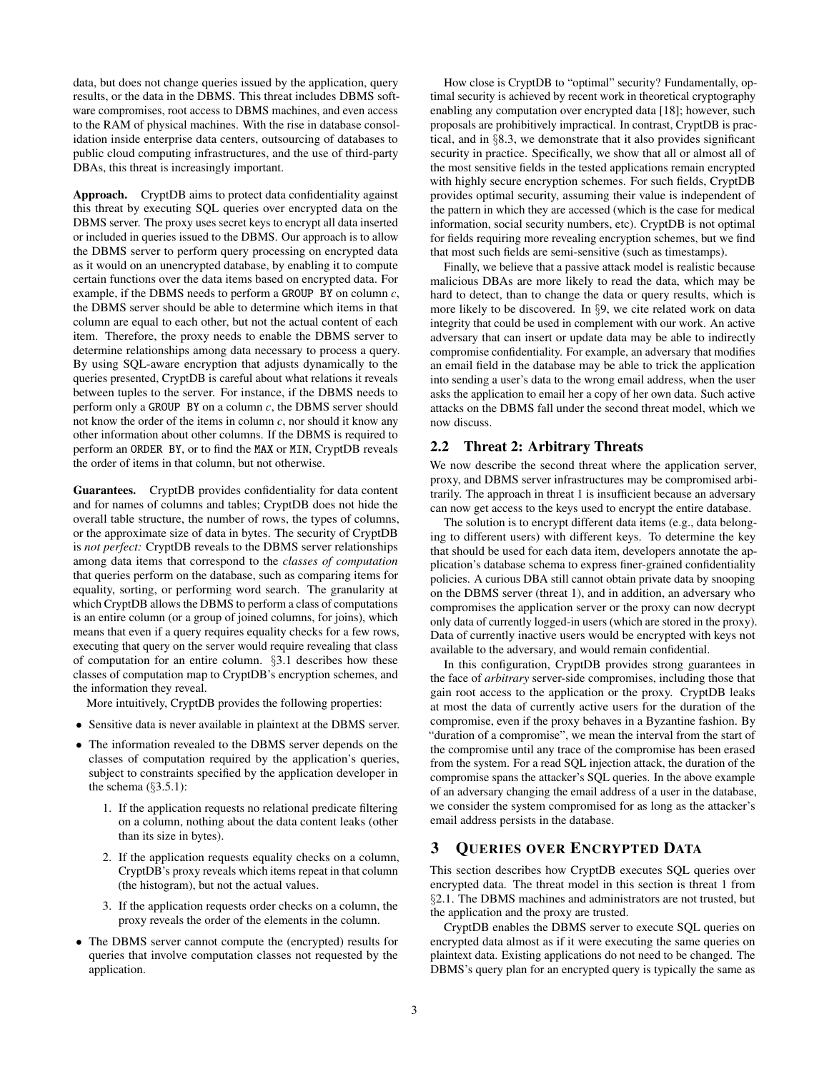data, but does not change queries issued by the application, query results, or the data in the DBMS. This threat includes DBMS software compromises, root access to DBMS machines, and even access to the RAM of physical machines. With the rise in database consolidation inside enterprise data centers, outsourcing of databases to public cloud computing infrastructures, and the use of third-party DBAs, this threat is increasingly important.

Approach. CryptDB aims to protect data confidentiality against this threat by executing SQL queries over encrypted data on the DBMS server. The proxy uses secret keys to encrypt all data inserted or included in queries issued to the DBMS. Our approach is to allow the DBMS server to perform query processing on encrypted data as it would on an unencrypted database, by enabling it to compute certain functions over the data items based on encrypted data. For example, if the DBMS needs to perform a GROUP BY on column *c*, the DBMS server should be able to determine which items in that column are equal to each other, but not the actual content of each item. Therefore, the proxy needs to enable the DBMS server to determine relationships among data necessary to process a query. By using SQL-aware encryption that adjusts dynamically to the queries presented, CryptDB is careful about what relations it reveals between tuples to the server. For instance, if the DBMS needs to perform only a GROUP BY on a column *c*, the DBMS server should not know the order of the items in column *c*, nor should it know any other information about other columns. If the DBMS is required to perform an ORDER BY, or to find the MAX or MIN, CryptDB reveals the order of items in that column, but not otherwise.

Guarantees. CryptDB provides confidentiality for data content and for names of columns and tables; CryptDB does not hide the overall table structure, the number of rows, the types of columns, or the approximate size of data in bytes. The security of CryptDB is *not perfect:* CryptDB reveals to the DBMS server relationships among data items that correspond to the *classes of computation* that queries perform on the database, such as comparing items for equality, sorting, or performing word search. The granularity at which CryptDB allows the DBMS to perform a class of computations is an entire column (or a group of joined columns, for joins), which means that even if a query requires equality checks for a few rows, executing that query on the server would require revealing that class of computation for an entire column. §[3.1](#page-3-0) describes how these classes of computation map to CryptDB's encryption schemes, and the information they reveal.

More intuitively, CryptDB provides the following properties:

- Sensitive data is never available in plaintext at the DBMS server.
- The information revealed to the DBMS server depends on the classes of computation required by the application's queries, subject to constraints specified by the application developer in the schema  $(\S 3.5.1)$  $(\S 3.5.1)$ :
	- 1. If the application requests no relational predicate filtering on a column, nothing about the data content leaks (other than its size in bytes).
	- 2. If the application requests equality checks on a column, CryptDB's proxy reveals which items repeat in that column (the histogram), but not the actual values.
	- 3. If the application requests order checks on a column, the proxy reveals the order of the elements in the column.
- The DBMS server cannot compute the (encrypted) results for queries that involve computation classes not requested by the application.

How close is CryptDB to "optimal" security? Fundamentally, optimal security is achieved by recent work in theoretical cryptography enabling any computation over encrypted data [\[18\]](#page-15-9); however, such proposals are prohibitively impractical. In contrast, CryptDB is practical, and in §[8.3,](#page-10-1) we demonstrate that it also provides significant security in practice. Specifically, we show that all or almost all of the most sensitive fields in the tested applications remain encrypted with highly secure encryption schemes. For such fields, CryptDB provides optimal security, assuming their value is independent of the pattern in which they are accessed (which is the case for medical information, social security numbers, etc). CryptDB is not optimal for fields requiring more revealing encryption schemes, but we find that most such fields are semi-sensitive (such as timestamps).

Finally, we believe that a passive attack model is realistic because malicious DBAs are more likely to read the data, which may be hard to detect, than to change the data or query results, which is more likely to be discovered. In §[9,](#page-13-0) we cite related work on data integrity that could be used in complement with our work. An active adversary that can insert or update data may be able to indirectly compromise confidentiality. For example, an adversary that modifies an email field in the database may be able to trick the application into sending a user's data to the wrong email address, when the user asks the application to email her a copy of her own data. Such active attacks on the DBMS fall under the second threat model, which we now discuss.

# 2.2 Threat 2: Arbitrary Threats

We now describe the second threat where the application server, proxy, and DBMS server infrastructures may be compromised arbitrarily. The approach in threat 1 is insufficient because an adversary can now get access to the keys used to encrypt the entire database.

The solution is to encrypt different data items (e.g., data belonging to different users) with different keys. To determine the key that should be used for each data item, developers annotate the application's database schema to express finer-grained confidentiality policies. A curious DBA still cannot obtain private data by snooping on the DBMS server (threat 1), and in addition, an adversary who compromises the application server or the proxy can now decrypt only data of currently logged-in users (which are stored in the proxy). Data of currently inactive users would be encrypted with keys not available to the adversary, and would remain confidential.

In this configuration, CryptDB provides strong guarantees in the face of *arbitrary* server-side compromises, including those that gain root access to the application or the proxy. CryptDB leaks at most the data of currently active users for the duration of the compromise, even if the proxy behaves in a Byzantine fashion. By "duration of a compromise", we mean the interval from the start of the compromise until any trace of the compromise has been erased from the system. For a read SQL injection attack, the duration of the compromise spans the attacker's SQL queries. In the above example of an adversary changing the email address of a user in the database, we consider the system compromised for as long as the attacker's email address persists in the database.

# <span id="page-2-0"></span>3 QUERIES OVER ENCRYPTED DATA

This section describes how CryptDB executes SQL queries over encrypted data. The threat model in this section is threat 1 from §[2.1.](#page-1-2) The DBMS machines and administrators are not trusted, but the application and the proxy are trusted.

CryptDB enables the DBMS server to execute SQL queries on encrypted data almost as if it were executing the same queries on plaintext data. Existing applications do not need to be changed. The DBMS's query plan for an encrypted query is typically the same as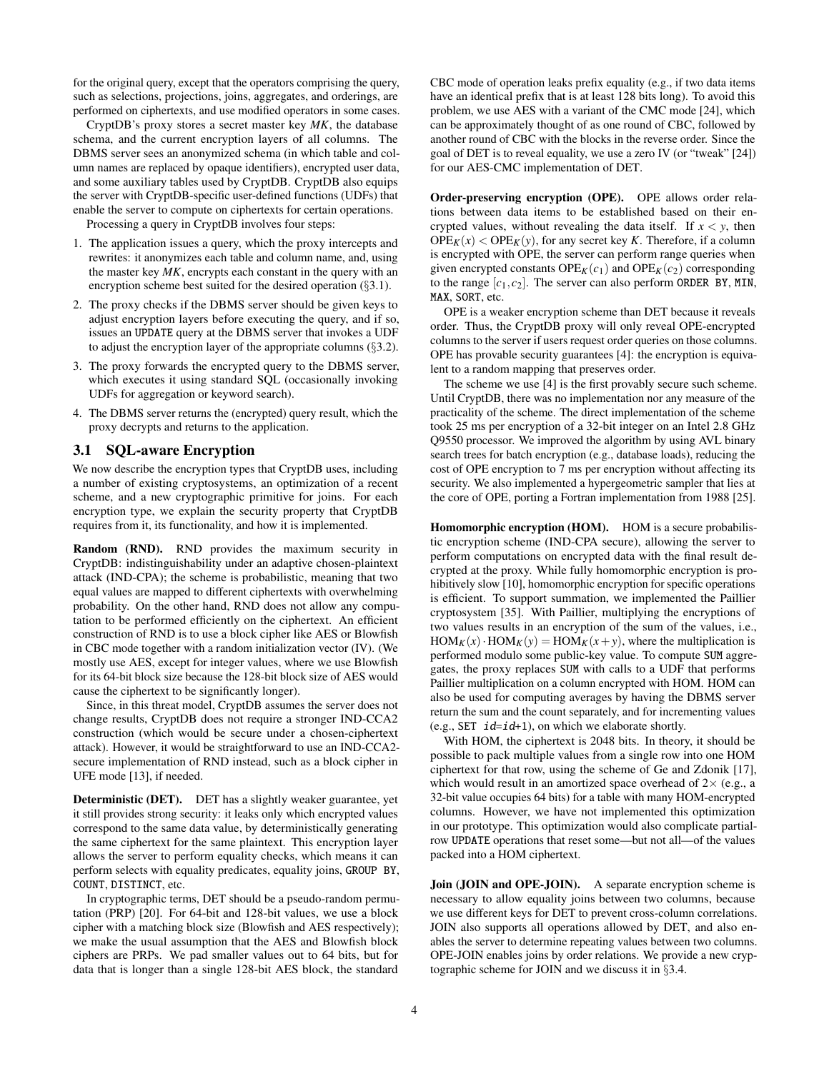for the original query, except that the operators comprising the query, such as selections, projections, joins, aggregates, and orderings, are performed on ciphertexts, and use modified operators in some cases.

CryptDB's proxy stores a secret master key *MK*, the database schema, and the current encryption layers of all columns. The DBMS server sees an anonymized schema (in which table and column names are replaced by opaque identifiers), encrypted user data, and some auxiliary tables used by CryptDB. CryptDB also equips the server with CryptDB-specific user-defined functions (UDFs) that enable the server to compute on ciphertexts for certain operations.

Processing a query in CryptDB involves four steps:

- 1. The application issues a query, which the proxy intercepts and rewrites: it anonymizes each table and column name, and, using the master key *MK*, encrypts each constant in the query with an encryption scheme best suited for the desired operation (§[3.1\)](#page-3-0).
- 2. The proxy checks if the DBMS server should be given keys to adjust encryption layers before executing the query, and if so, issues an UPDATE query at the DBMS server that invokes a UDF to adjust the encryption layer of the appropriate columns (§[3.2\)](#page-4-0).
- 3. The proxy forwards the encrypted query to the DBMS server, which executes it using standard SQL (occasionally invoking UDFs for aggregation or keyword search).
- 4. The DBMS server returns the (encrypted) query result, which the proxy decrypts and returns to the application.

### <span id="page-3-0"></span>3.1 SQL-aware Encryption

We now describe the encryption types that CryptDB uses, including a number of existing cryptosystems, an optimization of a recent scheme, and a new cryptographic primitive for joins. For each encryption type, we explain the security property that CryptDB requires from it, its functionality, and how it is implemented.

Random (RND). RND provides the maximum security in CryptDB: indistinguishability under an adaptive chosen-plaintext attack (IND-CPA); the scheme is probabilistic, meaning that two equal values are mapped to different ciphertexts with overwhelming probability. On the other hand, RND does not allow any computation to be performed efficiently on the ciphertext. An efficient construction of RND is to use a block cipher like AES or Blowfish in CBC mode together with a random initialization vector (IV). (We mostly use AES, except for integer values, where we use Blowfish for its 64-bit block size because the 128-bit block size of AES would cause the ciphertext to be significantly longer).

Since, in this threat model, CryptDB assumes the server does not change results, CryptDB does not require a stronger IND-CCA2 construction (which would be secure under a chosen-ciphertext attack). However, it would be straightforward to use an IND-CCA2 secure implementation of RND instead, such as a block cipher in UFE mode [\[13\]](#page-15-10), if needed.

Deterministic (DET). DET has a slightly weaker guarantee, yet it still provides strong security: it leaks only which encrypted values correspond to the same data value, by deterministically generating the same ciphertext for the same plaintext. This encryption layer allows the server to perform equality checks, which means it can perform selects with equality predicates, equality joins, GROUP BY, COUNT, DISTINCT, etc.

In cryptographic terms, DET should be a pseudo-random permutation (PRP) [\[20\]](#page-15-11). For 64-bit and 128-bit values, we use a block cipher with a matching block size (Blowfish and AES respectively); we make the usual assumption that the AES and Blowfish block ciphers are PRPs. We pad smaller values out to 64 bits, but for data that is longer than a single 128-bit AES block, the standard

CBC mode of operation leaks prefix equality (e.g., if two data items have an identical prefix that is at least 128 bits long). To avoid this problem, we use AES with a variant of the CMC mode [\[24\]](#page-15-12), which can be approximately thought of as one round of CBC, followed by another round of CBC with the blocks in the reverse order. Since the goal of DET is to reveal equality, we use a zero IV (or "tweak" [\[24\]](#page-15-12)) for our AES-CMC implementation of DET.

Order-preserving encryption (OPE). OPE allows order relations between data items to be established based on their encrypted values, without revealing the data itself. If  $x < y$ , then  $OPE<sub>K</sub>(x) < OPE<sub>K</sub>(y)$ , for any secret key *K*. Therefore, if a column is encrypted with OPE, the server can perform range queries when given encrypted constants  $OPE<sub>K</sub>(c<sub>1</sub>)$  and  $OPE<sub>K</sub>(c<sub>2</sub>)$  corresponding to the range  $[c_1, c_2]$ . The server can also perform ORDER BY, MIN, MAX, SORT, etc.

OPE is a weaker encryption scheme than DET because it reveals order. Thus, the CryptDB proxy will only reveal OPE-encrypted columns to the server if users request order queries on those columns. OPE has provable security guarantees [\[4\]](#page-14-3): the encryption is equivalent to a random mapping that preserves order.

The scheme we use [\[4\]](#page-14-3) is the first provably secure such scheme. Until CryptDB, there was no implementation nor any measure of the practicality of the scheme. The direct implementation of the scheme took 25 ms per encryption of a 32-bit integer on an Intel 2.8 GHz Q9550 processor. We improved the algorithm by using AVL binary search trees for batch encryption (e.g., database loads), reducing the cost of OPE encryption to 7 ms per encryption without affecting its security. We also implemented a hypergeometric sampler that lies at the core of OPE, porting a Fortran implementation from 1988 [\[25\]](#page-15-13).

Homomorphic encryption (HOM). HOM is a secure probabilistic encryption scheme (IND-CPA secure), allowing the server to perform computations on encrypted data with the final result decrypted at the proxy. While fully homomorphic encryption is prohibitively slow [\[10\]](#page-14-1), homomorphic encryption for specific operations is efficient. To support summation, we implemented the Paillier cryptosystem [\[35\]](#page-15-14). With Paillier, multiplying the encryptions of two values results in an encryption of the sum of the values, i.e.,  $HOM_K(x) \cdot HOM_K(y) = HOM_K(x+y)$ , where the multiplication is performed modulo some public-key value. To compute SUM aggregates, the proxy replaces SUM with calls to a UDF that performs Paillier multiplication on a column encrypted with HOM. HOM can also be used for computing averages by having the DBMS server return the sum and the count separately, and for incrementing values (e.g., SET  $id=id+1$ ), on which we elaborate shortly.

With HOM, the ciphertext is 2048 bits. In theory, it should be possible to pack multiple values from a single row into one HOM ciphertext for that row, using the scheme of Ge and Zdonik [\[17\]](#page-15-15), which would result in an amortized space overhead of  $2\times$  (e.g., a 32-bit value occupies 64 bits) for a table with many HOM-encrypted columns. However, we have not implemented this optimization in our prototype. This optimization would also complicate partialrow UPDATE operations that reset some—but not all—of the values packed into a HOM ciphertext.

Join (JOIN and OPE-JOIN). A separate encryption scheme is necessary to allow equality joins between two columns, because we use different keys for DET to prevent cross-column correlations. JOIN also supports all operations allowed by DET, and also enables the server to determine repeating values between two columns. OPE-JOIN enables joins by order relations. We provide a new cryptographic scheme for JOIN and we discuss it in §[3.4.](#page-5-0)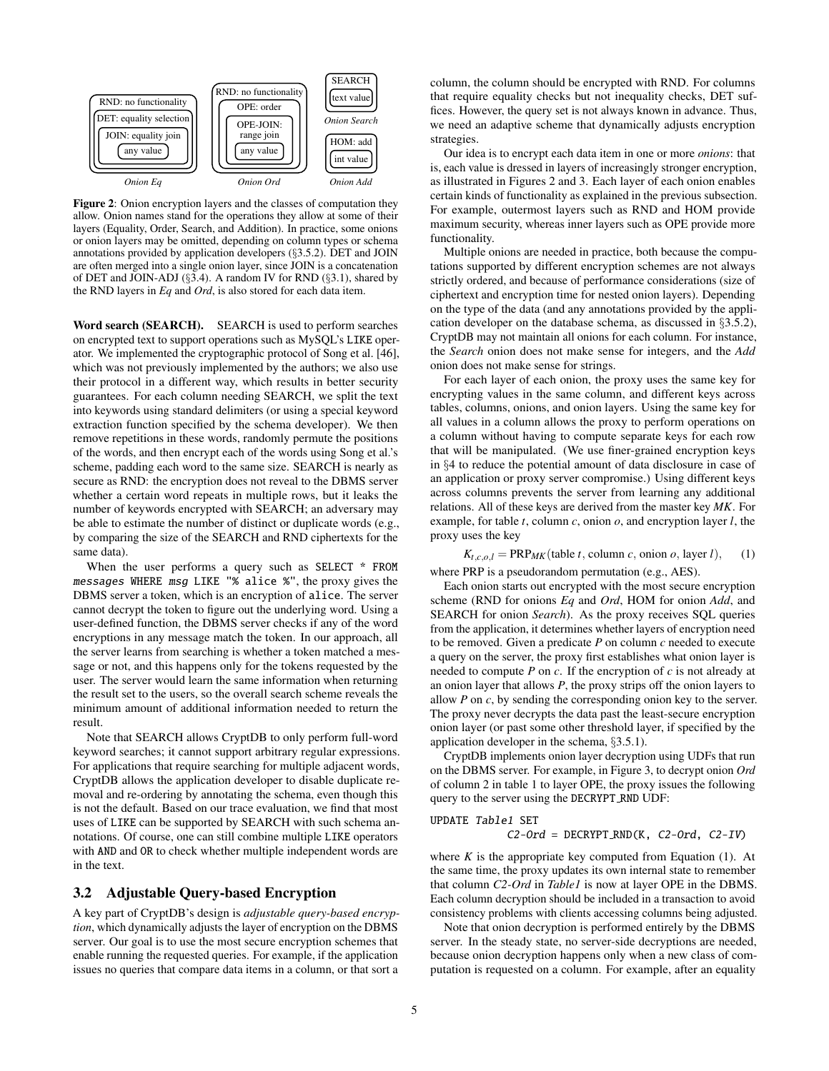

Figure 2: Onion encryption layers and the classes of computation they allow. Onion names stand for the operations they allow at some of their layers (Equality, Order, Search, and Addition). In practice, some onions or onion layers may be omitted, depending on column types or schema annotations provided by application developers (§[3.5.2\)](#page-7-1). DET and JOIN are often merged into a single onion layer, since JOIN is a concatenation of DET and JOIN-ADJ (§[3.4\)](#page-5-0). A random IV for RND (§[3.1\)](#page-3-0), shared by the RND layers in *Eq* and *Ord*, is also stored for each data item.

Word search (SEARCH). SEARCH is used to perform searches on encrypted text to support operations such as MySQL's LIKE operator. We implemented the cryptographic protocol of Song et al. [\[46\]](#page-15-16), which was not previously implemented by the authors; we also use their protocol in a different way, which results in better security guarantees. For each column needing SEARCH, we split the text into keywords using standard delimiters (or using a special keyword extraction function specified by the schema developer). We then remove repetitions in these words, randomly permute the positions of the words, and then encrypt each of the words using Song et al.'s scheme, padding each word to the same size. SEARCH is nearly as secure as RND: the encryption does not reveal to the DBMS server whether a certain word repeats in multiple rows, but it leaks the number of keywords encrypted with SEARCH; an adversary may be able to estimate the number of distinct or duplicate words (e.g., by comparing the size of the SEARCH and RND ciphertexts for the same data).

When the user performs a query such as SELECT \* FROM messages WHERE msg LIKE "% alice %", the proxy gives the DBMS server a token, which is an encryption of alice. The server cannot decrypt the token to figure out the underlying word. Using a user-defined function, the DBMS server checks if any of the word encryptions in any message match the token. In our approach, all the server learns from searching is whether a token matched a message or not, and this happens only for the tokens requested by the user. The server would learn the same information when returning the result set to the users, so the overall search scheme reveals the minimum amount of additional information needed to return the result.

Note that SEARCH allows CryptDB to only perform full-word keyword searches; it cannot support arbitrary regular expressions. For applications that require searching for multiple adjacent words, CryptDB allows the application developer to disable duplicate removal and re-ordering by annotating the schema, even though this is not the default. Based on our trace evaluation, we find that most uses of LIKE can be supported by SEARCH with such schema annotations. Of course, one can still combine multiple LIKE operators with AND and OR to check whether multiple independent words are in the text.

# <span id="page-4-0"></span>3.2 Adjustable Query-based Encryption

A key part of CryptDB's design is *adjustable query-based encryption*, which dynamically adjusts the layer of encryption on the DBMS server. Our goal is to use the most secure encryption schemes that enable running the requested queries. For example, if the application issues no queries that compare data items in a column, or that sort a column, the column should be encrypted with RND. For columns that require equality checks but not inequality checks, DET suffices. However, the query set is not always known in advance. Thus, we need an adaptive scheme that dynamically adjusts encryption strategies.

<span id="page-4-1"></span>Our idea is to encrypt each data item in one or more *onions*: that is, each value is dressed in layers of increasingly stronger encryption, as illustrated in Figures [2](#page-4-1) and [3.](#page-5-1) Each layer of each onion enables certain kinds of functionality as explained in the previous subsection. For example, outermost layers such as RND and HOM provide maximum security, whereas inner layers such as OPE provide more functionality.

Multiple onions are needed in practice, both because the computations supported by different encryption schemes are not always strictly ordered, and because of performance considerations (size of ciphertext and encryption time for nested onion layers). Depending on the type of the data (and any annotations provided by the application developer on the database schema, as discussed in §[3.5.2\)](#page-7-1), CryptDB may not maintain all onions for each column. For instance, the *Search* onion does not make sense for integers, and the *Add* onion does not make sense for strings.

For each layer of each onion, the proxy uses the same key for encrypting values in the same column, and different keys across tables, columns, onions, and onion layers. Using the same key for all values in a column allows the proxy to perform operations on a column without having to compute separate keys for each row that will be manipulated. (We use finer-grained encryption keys in §[4](#page-7-0) to reduce the potential amount of data disclosure in case of an application or proxy server compromise.) Using different keys across columns prevents the server from learning any additional relations. All of these keys are derived from the master key *MK*. For example, for table  $t$ , column  $c$ , onion  $o$ , and encryption layer  $l$ , the proxy uses the key

<span id="page-4-2"></span> $K_{t,c,o,l} = \text{PRP}_{MK}(\text{table } t, \text{column } c, \text{onion } o, \text{ layer } l),$  (1)

where PRP is a pseudorandom permutation (e.g., AES).

Each onion starts out encrypted with the most secure encryption scheme (RND for onions *Eq* and *Ord*, HOM for onion *Add*, and SEARCH for onion *Search*). As the proxy receives SQL queries from the application, it determines whether layers of encryption need to be removed. Given a predicate *P* on column *c* needed to execute a query on the server, the proxy first establishes what onion layer is needed to compute *P* on *c*. If the encryption of *c* is not already at an onion layer that allows *P*, the proxy strips off the onion layers to allow *P* on *c*, by sending the corresponding onion key to the server. The proxy never decrypts the data past the least-secure encryption onion layer (or past some other threshold layer, if specified by the application developer in the schema, §[3.5.1\)](#page-6-0).

CryptDB implements onion layer decryption using UDFs that run on the DBMS server. For example, in Figure [3,](#page-5-1) to decrypt onion *Ord* of column 2 in table 1 to layer OPE, the proxy issues the following query to the server using the DECRYPT RND UDF:

#### UPDATE Table1 SET

$$
C2-Ord = DECRYPT_RND(K, C2-Ord, C2-IV)
$$

where  $K$  is the appropriate key computed from Equation  $(1)$ . At the same time, the proxy updates its own internal state to remember that column *C2-Ord* in *Table1* is now at layer OPE in the DBMS. Each column decryption should be included in a transaction to avoid consistency problems with clients accessing columns being adjusted.

Note that onion decryption is performed entirely by the DBMS server. In the steady state, no server-side decryptions are needed, because onion decryption happens only when a new class of computation is requested on a column. For example, after an equality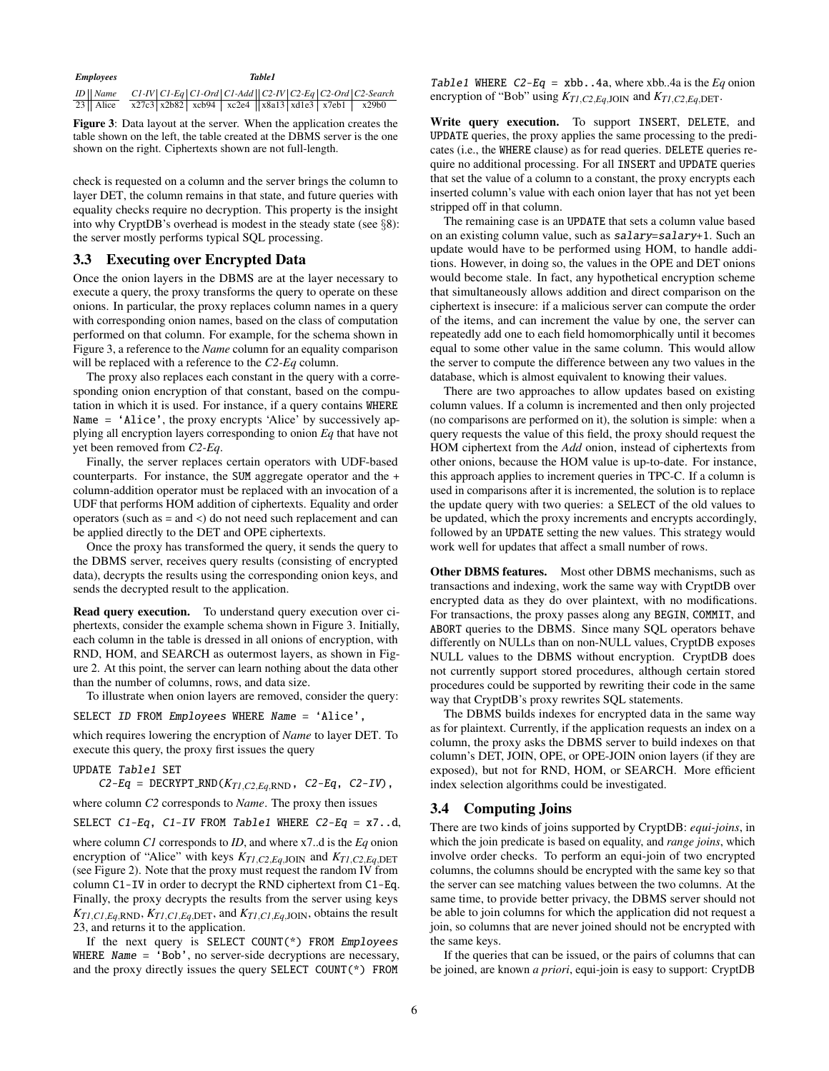| <b>Employees</b> |                     | <b>Table1</b> |  |  |  |  |  |  |                                                                      |
|------------------|---------------------|---------------|--|--|--|--|--|--|----------------------------------------------------------------------|
|                  | $ID \parallel Name$ |               |  |  |  |  |  |  | C1-IV   C1-Eq   C1-Ord   C1-Add   C2-IV   C2-Eq   C2-Ord   C2-Search |
|                  | $23$ Alice          |               |  |  |  |  |  |  | $x27c3$ $x2b82$ $xcb94$ $xc2e4$ $x8a13$ $xd1e3$ $x7eb1$ $x29b0$      |

<span id="page-5-1"></span>Figure 3: Data layout at the server. When the application creates the table shown on the left, the table created at the DBMS server is the one shown on the right. Ciphertexts shown are not full-length.

check is requested on a column and the server brings the column to layer DET, the column remains in that state, and future queries with equality checks require no decryption. This property is the insight into why CryptDB's overhead is modest in the steady state (see §[8\)](#page-10-0): the server mostly performs typical SQL processing.

### 3.3 Executing over Encrypted Data

Once the onion layers in the DBMS are at the layer necessary to execute a query, the proxy transforms the query to operate on these onions. In particular, the proxy replaces column names in a query with corresponding onion names, based on the class of computation performed on that column. For example, for the schema shown in Figure [3,](#page-5-1) a reference to the *Name* column for an equality comparison will be replaced with a reference to the *C2-Eq* column.

The proxy also replaces each constant in the query with a corresponding onion encryption of that constant, based on the computation in which it is used. For instance, if a query contains WHERE Name = 'Alice', the proxy encrypts 'Alice' by successively applying all encryption layers corresponding to onion *Eq* that have not yet been removed from *C2-Eq*.

Finally, the server replaces certain operators with UDF-based counterparts. For instance, the SUM aggregate operator and the + column-addition operator must be replaced with an invocation of a UDF that performs HOM addition of ciphertexts. Equality and order operators (such as = and <) do not need such replacement and can be applied directly to the DET and OPE ciphertexts.

Once the proxy has transformed the query, it sends the query to the DBMS server, receives query results (consisting of encrypted data), decrypts the results using the corresponding onion keys, and sends the decrypted result to the application.

Read query execution. To understand query execution over ciphertexts, consider the example schema shown in Figure [3.](#page-5-1) Initially, each column in the table is dressed in all onions of encryption, with RND, HOM, and SEARCH as outermost layers, as shown in Figure [2.](#page-4-1) At this point, the server can learn nothing about the data other than the number of columns, rows, and data size.

To illustrate when onion layers are removed, consider the query:

SELECT ID FROM Employees WHERE Name = 'Alice',

which requires lowering the encryption of *Name* to layer DET. To execute this query, the proxy first issues the query

#### UPDATE Table1 SET

 $C2-Eq = DECRYPT_RND(K_{TI,C2,Eq,RND}, C2-Eq, C2-IV)$ ,

where column *C2* corresponds to *Name*. The proxy then issues

SELECT C1-Eq, C1-IV FROM Table1 WHERE C2-Eq =  $x7...d$ ,

where column *C1* corresponds to *ID*, and where x7..d is the *Eq* onion encryption of "Alice" with keys *KT1*,*C2*,*Eq*,JOIN and *KT1*,*C2*,*Eq*,DET (see Figure [2\)](#page-4-1). Note that the proxy must request the random IV from column C1-IV in order to decrypt the RND ciphertext from C1-Eq. Finally, the proxy decrypts the results from the server using keys  $K_{T1,CI,Eq, \text{RND}}$ ,  $K_{T1,CI,Eq, \text{DET}}$ , and  $K_{T1,CI,Eq, \text{JON}}$ , obtains the result 23, and returns it to the application.

If the next query is SELECT COUNT(\*) FROM Employees WHERE Name = 'Bob', no server-side decryptions are necessary, and the proxy directly issues the query SELECT COUNT(\*) FROM

Table1 WHERE  $C2-Eq = xbb...4a$ , where xbb..4a is the *Eq* onion encryption of "Bob" using  $K_{T1,C2,Eq,$  JOIN and  $K_{T1,C2,Eq,$  DET.

Write query execution. To support INSERT, DELETE, and UPDATE queries, the proxy applies the same processing to the predicates (i.e., the WHERE clause) as for read queries. DELETE queries require no additional processing. For all INSERT and UPDATE queries that set the value of a column to a constant, the proxy encrypts each inserted column's value with each onion layer that has not yet been stripped off in that column.

The remaining case is an UPDATE that sets a column value based on an existing column value, such as salary=salary+1. Such an update would have to be performed using HOM, to handle additions. However, in doing so, the values in the OPE and DET onions would become stale. In fact, any hypothetical encryption scheme that simultaneously allows addition and direct comparison on the ciphertext is insecure: if a malicious server can compute the order of the items, and can increment the value by one, the server can repeatedly add one to each field homomorphically until it becomes equal to some other value in the same column. This would allow the server to compute the difference between any two values in the database, which is almost equivalent to knowing their values.

There are two approaches to allow updates based on existing column values. If a column is incremented and then only projected (no comparisons are performed on it), the solution is simple: when a query requests the value of this field, the proxy should request the HOM ciphertext from the *Add* onion, instead of ciphertexts from other onions, because the HOM value is up-to-date. For instance, this approach applies to increment queries in TPC-C. If a column is used in comparisons after it is incremented, the solution is to replace the update query with two queries: a SELECT of the old values to be updated, which the proxy increments and encrypts accordingly, followed by an UPDATE setting the new values. This strategy would work well for updates that affect a small number of rows.

Other DBMS features. Most other DBMS mechanisms, such as transactions and indexing, work the same way with CryptDB over encrypted data as they do over plaintext, with no modifications. For transactions, the proxy passes along any BEGIN, COMMIT, and ABORT queries to the DBMS. Since many SQL operators behave differently on NULLs than on non-NULL values, CryptDB exposes NULL values to the DBMS without encryption. CryptDB does not currently support stored procedures, although certain stored procedures could be supported by rewriting their code in the same way that CryptDB's proxy rewrites SQL statements.

The DBMS builds indexes for encrypted data in the same way as for plaintext. Currently, if the application requests an index on a column, the proxy asks the DBMS server to build indexes on that column's DET, JOIN, OPE, or OPE-JOIN onion layers (if they are exposed), but not for RND, HOM, or SEARCH. More efficient index selection algorithms could be investigated.

#### <span id="page-5-0"></span>3.4 Computing Joins

There are two kinds of joins supported by CryptDB: *equi-joins*, in which the join predicate is based on equality, and *range joins*, which involve order checks. To perform an equi-join of two encrypted columns, the columns should be encrypted with the same key so that the server can see matching values between the two columns. At the same time, to provide better privacy, the DBMS server should not be able to join columns for which the application did not request a join, so columns that are never joined should not be encrypted with the same keys.

If the queries that can be issued, or the pairs of columns that can be joined, are known *a priori*, equi-join is easy to support: CryptDB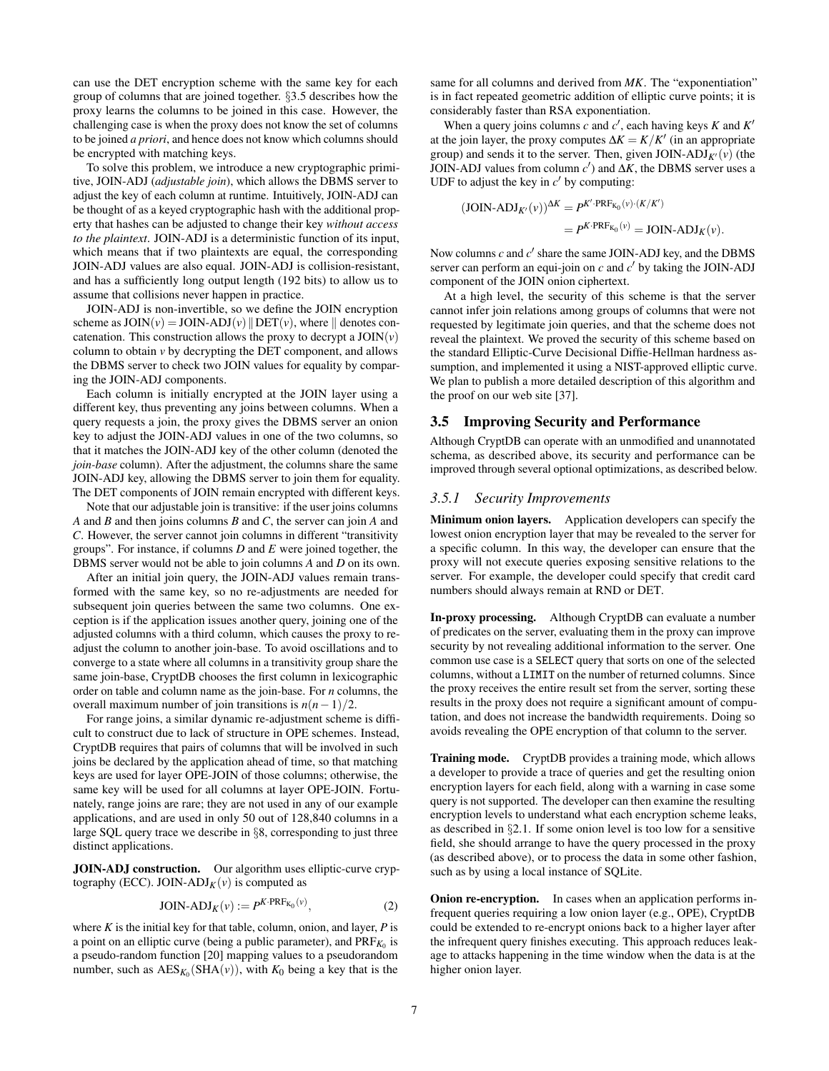can use the DET encryption scheme with the same key for each group of columns that are joined together. §[3.5](#page-6-1) describes how the proxy learns the columns to be joined in this case. However, the challenging case is when the proxy does not know the set of columns to be joined *a priori*, and hence does not know which columns should be encrypted with matching keys.

To solve this problem, we introduce a new cryptographic primitive, JOIN-ADJ (*adjustable join*), which allows the DBMS server to adjust the key of each column at runtime. Intuitively, JOIN-ADJ can be thought of as a keyed cryptographic hash with the additional property that hashes can be adjusted to change their key *without access to the plaintext*. JOIN-ADJ is a deterministic function of its input, which means that if two plaintexts are equal, the corresponding JOIN-ADJ values are also equal. JOIN-ADJ is collision-resistant, and has a sufficiently long output length (192 bits) to allow us to assume that collisions never happen in practice.

JOIN-ADJ is non-invertible, so we define the JOIN encryption scheme as  $JOIN(v) = JOIN-ADI(v) \parallel DET(v)$ , where  $\parallel$  denotes concatenation. This construction allows the proxy to decrypt a  $JOIN(v)$ column to obtain *v* by decrypting the DET component, and allows the DBMS server to check two JOIN values for equality by comparing the JOIN-ADJ components.

Each column is initially encrypted at the JOIN layer using a different key, thus preventing any joins between columns. When a query requests a join, the proxy gives the DBMS server an onion key to adjust the JOIN-ADJ values in one of the two columns, so that it matches the JOIN-ADJ key of the other column (denoted the *join-base* column). After the adjustment, the columns share the same JOIN-ADJ key, allowing the DBMS server to join them for equality. The DET components of JOIN remain encrypted with different keys.

Note that our adjustable join is transitive: if the user joins columns *A* and *B* and then joins columns *B* and *C*, the server can join *A* and *C*. However, the server cannot join columns in different "transitivity groups". For instance, if columns *D* and *E* were joined together, the DBMS server would not be able to join columns *A* and *D* on its own.

After an initial join query, the JOIN-ADJ values remain transformed with the same key, so no re-adjustments are needed for subsequent join queries between the same two columns. One exception is if the application issues another query, joining one of the adjusted columns with a third column, which causes the proxy to readjust the column to another join-base. To avoid oscillations and to converge to a state where all columns in a transitivity group share the same join-base, CryptDB chooses the first column in lexicographic order on table and column name as the join-base. For *n* columns, the overall maximum number of join transitions is  $n(n-1)/2$ .

For range joins, a similar dynamic re-adjustment scheme is difficult to construct due to lack of structure in OPE schemes. Instead, CryptDB requires that pairs of columns that will be involved in such joins be declared by the application ahead of time, so that matching keys are used for layer OPE-JOIN of those columns; otherwise, the same key will be used for all columns at layer OPE-JOIN. Fortunately, range joins are rare; they are not used in any of our example applications, and are used in only 50 out of 128,840 columns in a large SQL query trace we describe in §[8,](#page-10-0) corresponding to just three distinct applications.

JOIN-ADJ construction. Our algorithm uses elliptic-curve cryptography (ECC). JOIN-ADJ<sub>K</sub> $(v)$  is computed as

$$
JOIN-ADIK(v) := PK-PRFK0(v),
$$
 (2)

where  $K$  is the initial key for that table, column, onion, and layer,  $P$  is a point on an elliptic curve (being a public parameter), and  $\mathrm{PRF}_{K_0}$  is a pseudo-random function [\[20\]](#page-15-11) mapping values to a pseudorandom number, such as  $\text{AES}_{K_0}(\text{SHA}(v))$ , with  $K_0$  being a key that is the same for all columns and derived from *MK*. The "exponentiation" is in fact repeated geometric addition of elliptic curve points; it is considerably faster than RSA exponentiation.

When a query joins columns  $c$  and  $c'$ , each having keys  $K$  and  $K'$ at the join layer, the proxy computes  $\Delta K = K/K'$  (in an appropriate group) and sends it to the server. Then, given JOIN-ADJ $_{K'}(v)$  (the JOIN-ADJ values from column  $c'$ ) and  $\Delta K$ , the DBMS server uses a UDF to adjust the key in  $c'$  by computing:

$$
(\text{JOIN-ADI}_{K'}(v))^{ \Delta K} = P^{K' \cdot \text{PRF}_{K_0}(v) \cdot (K/K')}
$$

$$
= P^{K \cdot \text{PRF}_{K_0}(v)} = \text{JOIN-ADI}_{K}(v).
$$

Now columns  $c$  and  $c'$  share the same JOIN-ADJ key, and the DBMS server can perform an equi-join on  $c$  and  $c'$  by taking the JOIN-ADJ component of the JOIN onion ciphertext.

At a high level, the security of this scheme is that the server cannot infer join relations among groups of columns that were not requested by legitimate join queries, and that the scheme does not reveal the plaintext. We proved the security of this scheme based on the standard Elliptic-Curve Decisional Diffie-Hellman hardness assumption, and implemented it using a NIST-approved elliptic curve. We plan to publish a more detailed description of this algorithm and the proof on our web site [\[37\]](#page-15-17).

#### <span id="page-6-1"></span>3.5 Improving Security and Performance

Although CryptDB can operate with an unmodified and unannotated schema, as described above, its security and performance can be improved through several optional optimizations, as described below.

### <span id="page-6-0"></span>*3.5.1 Security Improvements*

Minimum onion layers. Application developers can specify the lowest onion encryption layer that may be revealed to the server for a specific column. In this way, the developer can ensure that the proxy will not execute queries exposing sensitive relations to the server. For example, the developer could specify that credit card numbers should always remain at RND or DET.

In-proxy processing. Although CryptDB can evaluate a number of predicates on the server, evaluating them in the proxy can improve security by not revealing additional information to the server. One common use case is a SELECT query that sorts on one of the selected columns, without a LIMIT on the number of returned columns. Since the proxy receives the entire result set from the server, sorting these results in the proxy does not require a significant amount of computation, and does not increase the bandwidth requirements. Doing so avoids revealing the OPE encryption of that column to the server.

Training mode. CryptDB provides a training mode, which allows a developer to provide a trace of queries and get the resulting onion encryption layers for each field, along with a warning in case some query is not supported. The developer can then examine the resulting encryption levels to understand what each encryption scheme leaks, as described in §[2.1.](#page-1-2) If some onion level is too low for a sensitive field, she should arrange to have the query processed in the proxy (as described above), or to process the data in some other fashion, such as by using a local instance of SQLite.

Onion re-encryption. In cases when an application performs infrequent queries requiring a low onion layer (e.g., OPE), CryptDB could be extended to re-encrypt onions back to a higher layer after the infrequent query finishes executing. This approach reduces leakage to attacks happening in the time window when the data is at the higher onion layer.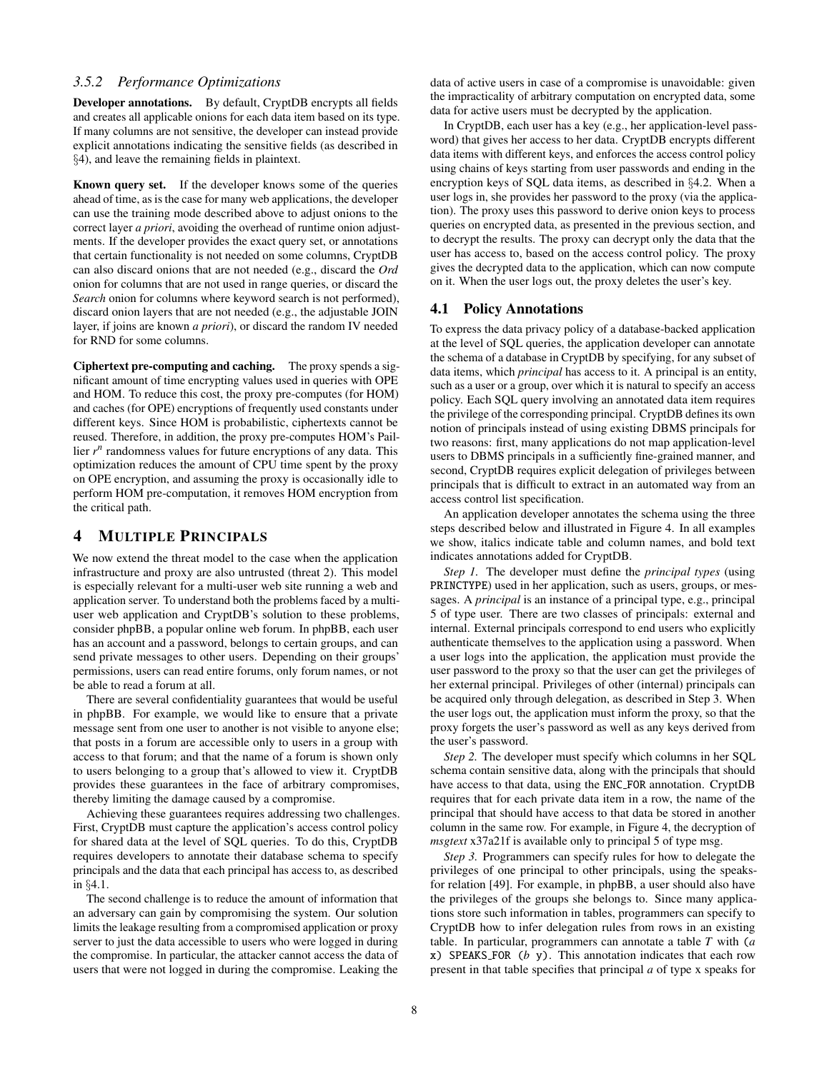# <span id="page-7-1"></span>*3.5.2 Performance Optimizations*

Developer annotations. By default, CryptDB encrypts all fields and creates all applicable onions for each data item based on its type. If many columns are not sensitive, the developer can instead provide explicit annotations indicating the sensitive fields (as described in §[4\)](#page-7-0), and leave the remaining fields in plaintext.

Known query set. If the developer knows some of the queries ahead of time, as is the case for many web applications, the developer can use the training mode described above to adjust onions to the correct layer *a priori*, avoiding the overhead of runtime onion adjustments. If the developer provides the exact query set, or annotations that certain functionality is not needed on some columns, CryptDB can also discard onions that are not needed (e.g., discard the *Ord* onion for columns that are not used in range queries, or discard the *Search* onion for columns where keyword search is not performed), discard onion layers that are not needed (e.g., the adjustable JOIN layer, if joins are known *a priori*), or discard the random IV needed for RND for some columns.

Ciphertext pre-computing and caching. The proxy spends a significant amount of time encrypting values used in queries with OPE and HOM. To reduce this cost, the proxy pre-computes (for HOM) and caches (for OPE) encryptions of frequently used constants under different keys. Since HOM is probabilistic, ciphertexts cannot be reused. Therefore, in addition, the proxy pre-computes HOM's Paillier  $r^n$  randomness values for future encryptions of any data. This optimization reduces the amount of CPU time spent by the proxy on OPE encryption, and assuming the proxy is occasionally idle to perform HOM pre-computation, it removes HOM encryption from the critical path.

## <span id="page-7-0"></span>4 MULTIPLE PRINCIPALS

We now extend the threat model to the case when the application infrastructure and proxy are also untrusted (threat 2). This model is especially relevant for a multi-user web site running a web and application server. To understand both the problems faced by a multiuser web application and CryptDB's solution to these problems, consider phpBB, a popular online web forum. In phpBB, each user has an account and a password, belongs to certain groups, and can send private messages to other users. Depending on their groups' permissions, users can read entire forums, only forum names, or not be able to read a forum at all.

There are several confidentiality guarantees that would be useful in phpBB. For example, we would like to ensure that a private message sent from one user to another is not visible to anyone else; that posts in a forum are accessible only to users in a group with access to that forum; and that the name of a forum is shown only to users belonging to a group that's allowed to view it. CryptDB provides these guarantees in the face of arbitrary compromises, thereby limiting the damage caused by a compromise.

Achieving these guarantees requires addressing two challenges. First, CryptDB must capture the application's access control policy for shared data at the level of SQL queries. To do this, CryptDB requires developers to annotate their database schema to specify principals and the data that each principal has access to, as described in §[4.1.](#page-7-2)

The second challenge is to reduce the amount of information that an adversary can gain by compromising the system. Our solution limits the leakage resulting from a compromised application or proxy server to just the data accessible to users who were logged in during the compromise. In particular, the attacker cannot access the data of users that were not logged in during the compromise. Leaking the data of active users in case of a compromise is unavoidable: given the impracticality of arbitrary computation on encrypted data, some data for active users must be decrypted by the application.

In CryptDB, each user has a key (e.g., her application-level password) that gives her access to her data. CryptDB encrypts different data items with different keys, and enforces the access control policy using chains of keys starting from user passwords and ending in the encryption keys of SQL data items, as described in §[4.2.](#page-8-1) When a user logs in, she provides her password to the proxy (via the application). The proxy uses this password to derive onion keys to process queries on encrypted data, as presented in the previous section, and to decrypt the results. The proxy can decrypt only the data that the user has access to, based on the access control policy. The proxy gives the decrypted data to the application, which can now compute on it. When the user logs out, the proxy deletes the user's key.

### <span id="page-7-2"></span>4.1 Policy Annotations

To express the data privacy policy of a database-backed application at the level of SQL queries, the application developer can annotate the schema of a database in CryptDB by specifying, for any subset of data items, which *principal* has access to it. A principal is an entity, such as a user or a group, over which it is natural to specify an access policy. Each SQL query involving an annotated data item requires the privilege of the corresponding principal. CryptDB defines its own notion of principals instead of using existing DBMS principals for two reasons: first, many applications do not map application-level users to DBMS principals in a sufficiently fine-grained manner, and second, CryptDB requires explicit delegation of privileges between principals that is difficult to extract in an automated way from an access control list specification.

An application developer annotates the schema using the three steps described below and illustrated in Figure [4.](#page-8-2) In all examples we show, italics indicate table and column names, and bold text indicates annotations added for CryptDB.

*Step 1.* The developer must define the *principal types* (using PRINCTYPE) used in her application, such as users, groups, or messages. A *principal* is an instance of a principal type, e.g., principal 5 of type user. There are two classes of principals: external and internal. External principals correspond to end users who explicitly authenticate themselves to the application using a password. When a user logs into the application, the application must provide the user password to the proxy so that the user can get the privileges of her external principal. Privileges of other (internal) principals can be acquired only through delegation, as described in Step 3. When the user logs out, the application must inform the proxy, so that the proxy forgets the user's password as well as any keys derived from the user's password.

*Step 2.* The developer must specify which columns in her SQL schema contain sensitive data, along with the principals that should have access to that data, using the ENC FOR annotation. CryptDB requires that for each private data item in a row, the name of the principal that should have access to that data be stored in another column in the same row. For example, in Figure [4,](#page-8-2) the decryption of *msgtext* x37a21f is available only to principal 5 of type msg.

*Step 3.* Programmers can specify rules for how to delegate the privileges of one principal to other principals, using the speaksfor relation [\[49\]](#page-15-18). For example, in phpBB, a user should also have the privileges of the groups she belongs to. Since many applications store such information in tables, programmers can specify to CryptDB how to infer delegation rules from rows in an existing table. In particular, programmers can annotate a table *T* with (*a* x) SPEAKS FOR (*b* y). This annotation indicates that each row present in that table specifies that principal *a* of type x speaks for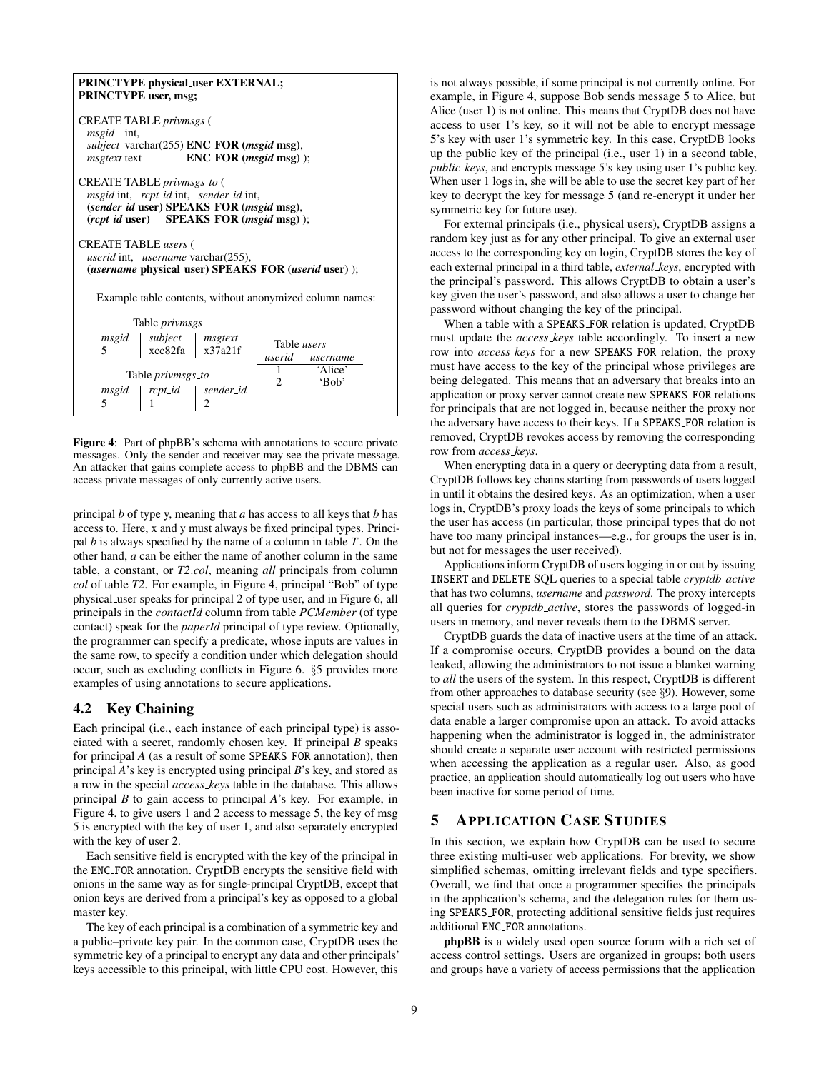

<span id="page-8-2"></span>Figure 4: Part of phpBB's schema with annotations to secure private messages. Only the sender and receiver may see the private message. An attacker that gains complete access to phpBB and the DBMS can access private messages of only currently active users.

principal *b* of type y, meaning that *a* has access to all keys that *b* has access to. Here, x and y must always be fixed principal types. Principal *b* is always specified by the name of a column in table *T*. On the other hand, *a* can be either the name of another column in the same table, a constant, or *T2*.*col*, meaning *all* principals from column *col* of table *T2*. For example, in Figure [4,](#page-8-2) principal "Bob" of type physical user speaks for principal 2 of type user, and in Figure [6,](#page-9-2) all principals in the *contactId* column from table *PCMember* (of type contact) speak for the *paperId* principal of type review. Optionally, the programmer can specify a predicate, whose inputs are values in the same row, to specify a condition under which delegation should occur, such as excluding conflicts in Figure [6.](#page-9-2) §[5](#page-8-0) provides more examples of using annotations to secure applications.

# <span id="page-8-1"></span>4.2 Key Chaining

Each principal (i.e., each instance of each principal type) is associated with a secret, randomly chosen key. If principal *B* speaks for principal *A* (as a result of some SPEAKS\_FOR annotation), then principal *A*'s key is encrypted using principal *B*'s key, and stored as a row in the special *access keys* table in the database. This allows principal *B* to gain access to principal *A*'s key. For example, in Figure [4,](#page-8-2) to give users 1 and 2 access to message 5, the key of msg 5 is encrypted with the key of user 1, and also separately encrypted with the key of user 2.

Each sensitive field is encrypted with the key of the principal in the ENC FOR annotation. CryptDB encrypts the sensitive field with onions in the same way as for single-principal CryptDB, except that onion keys are derived from a principal's key as opposed to a global master key.

The key of each principal is a combination of a symmetric key and a public–private key pair. In the common case, CryptDB uses the symmetric key of a principal to encrypt any data and other principals' keys accessible to this principal, with little CPU cost. However, this

is not always possible, if some principal is not currently online. For example, in Figure [4,](#page-8-2) suppose Bob sends message 5 to Alice, but Alice (user 1) is not online. This means that CryptDB does not have access to user 1's key, so it will not be able to encrypt message 5's key with user 1's symmetric key. In this case, CryptDB looks up the public key of the principal (i.e., user 1) in a second table, *public keys*, and encrypts message 5's key using user 1's public key. When user 1 logs in, she will be able to use the secret key part of her key to decrypt the key for message 5 (and re-encrypt it under her symmetric key for future use).

For external principals (i.e., physical users), CryptDB assigns a random key just as for any other principal. To give an external user access to the corresponding key on login, CryptDB stores the key of each external principal in a third table, *external keys*, encrypted with the principal's password. This allows CryptDB to obtain a user's key given the user's password, and also allows a user to change her password without changing the key of the principal.

When a table with a SPEAKS FOR relation is updated, CryptDB must update the *access keys* table accordingly. To insert a new row into *access keys* for a new SPEAKS FOR relation, the proxy must have access to the key of the principal whose privileges are being delegated. This means that an adversary that breaks into an application or proxy server cannot create new SPEAKS FOR relations for principals that are not logged in, because neither the proxy nor the adversary have access to their keys. If a SPEAKS FOR relation is removed, CryptDB revokes access by removing the corresponding row from *access keys*.

When encrypting data in a query or decrypting data from a result, CryptDB follows key chains starting from passwords of users logged in until it obtains the desired keys. As an optimization, when a user logs in, CryptDB's proxy loads the keys of some principals to which the user has access (in particular, those principal types that do not have too many principal instances—e.g., for groups the user is in, but not for messages the user received).

Applications inform CryptDB of users logging in or out by issuing INSERT and DELETE SQL queries to a special table *cryptdb active* that has two columns, *username* and *password*. The proxy intercepts all queries for *cryptdb active*, stores the passwords of logged-in users in memory, and never reveals them to the DBMS server.

CryptDB guards the data of inactive users at the time of an attack. If a compromise occurs, CryptDB provides a bound on the data leaked, allowing the administrators to not issue a blanket warning to *all* the users of the system. In this respect, CryptDB is different from other approaches to database security (see §[9\)](#page-13-0). However, some special users such as administrators with access to a large pool of data enable a larger compromise upon an attack. To avoid attacks happening when the administrator is logged in, the administrator should create a separate user account with restricted permissions when accessing the application as a regular user. Also, as good practice, an application should automatically log out users who have been inactive for some period of time.

# <span id="page-8-0"></span>5 APPLICATION CASE STUDIES

In this section, we explain how CryptDB can be used to secure three existing multi-user web applications. For brevity, we show simplified schemas, omitting irrelevant fields and type specifiers. Overall, we find that once a programmer specifies the principals in the application's schema, and the delegation rules for them using SPEAKS FOR, protecting additional sensitive fields just requires additional ENC FOR annotations.

phpBB is a widely used open source forum with a rich set of access control settings. Users are organized in groups; both users and groups have a variety of access permissions that the application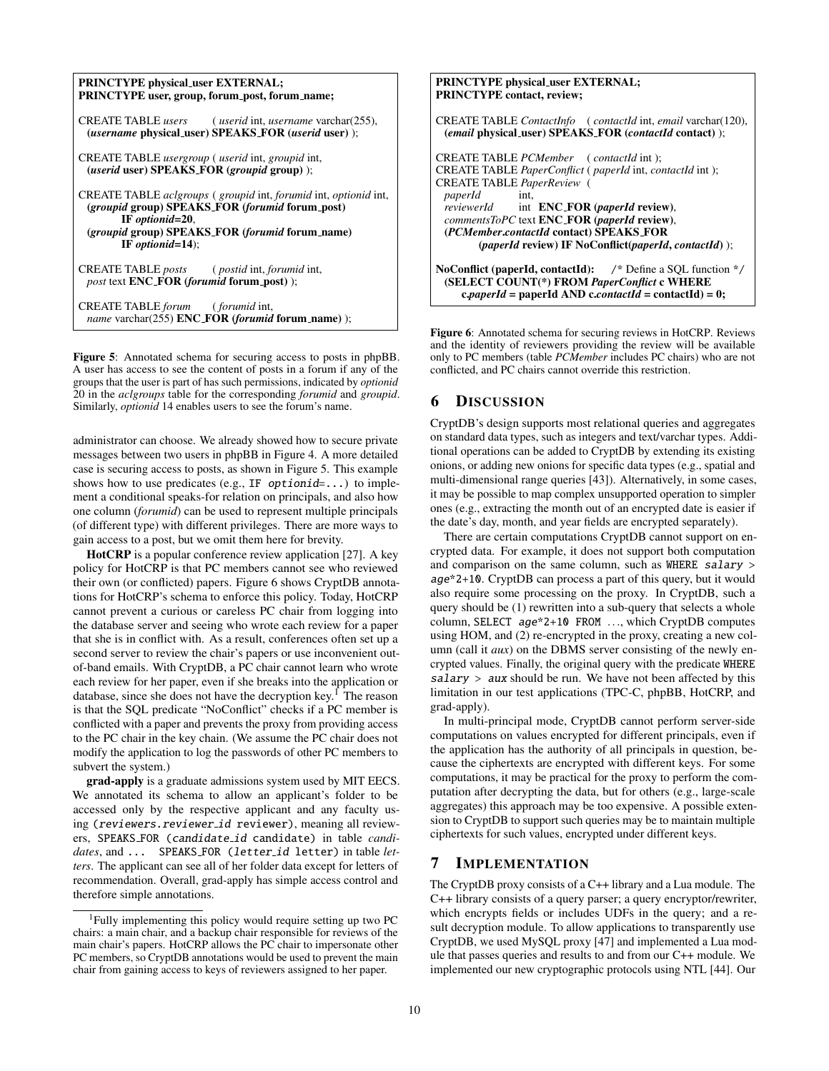| <b>PRINCTYPE physical_user EXTERNAL;</b><br>PRINCTYPE user, group, forum_post, forum_name;                                                                                                                                                       |
|--------------------------------------------------------------------------------------------------------------------------------------------------------------------------------------------------------------------------------------------------|
| CREATE TABLE users (userid int, username varchar(255),<br>( <i>username</i> physical_user) SPEAKS_FOR ( <i>userid</i> user) );                                                                                                                   |
| CREATE TABLE <i>usergroup</i> ( <i>userid</i> int, <i>groupid</i> int,<br>( <i>userid</i> user) SPEAKS_FOR ( <i>groupid</i> group) );                                                                                                            |
| CREATE TABLE <i>aclgroups</i> ( <i>groupid</i> int, <i>forumid</i> int, <i>optionid</i> int,<br>(groupid group) SPEAKS_FOR (forumid forum_post)<br>IF optionid= $20$ ,<br>(groupid group) SPEAKS_FOR (forumid forum_name)<br>IF optionid= $14$ : |
| CREATE TABLE posts (postid int, forumid int,<br><i>post</i> text <b>ENC_FOR</b> (forumid forum_post) );                                                                                                                                          |
| CREATE TABLE forum (forumid int,<br>name varchar(255) ENC_FOR (forumid forum_name) );                                                                                                                                                            |

<span id="page-9-3"></span>Figure 5: Annotated schema for securing access to posts in phpBB. A user has access to see the content of posts in a forum if any of the groups that the user is part of has such permissions, indicated by *optionid* 20 in the *aclgroups* table for the corresponding *forumid* and *groupid*. Similarly, *optionid* 14 enables users to see the forum's name.

administrator can choose. We already showed how to secure private messages between two users in phpBB in Figure [4.](#page-8-2) A more detailed case is securing access to posts, as shown in Figure [5.](#page-9-3) This example shows how to use predicates (e.g., IF optionid= $\ldots$ ) to implement a conditional speaks-for relation on principals, and also how one column (*forumid*) can be used to represent multiple principals (of different type) with different privileges. There are more ways to gain access to a post, but we omit them here for brevity.

HotCRP is a popular conference review application [\[27\]](#page-15-8). A key policy for HotCRP is that PC members cannot see who reviewed their own (or conflicted) papers. Figure [6](#page-9-2) shows CryptDB annotations for HotCRP's schema to enforce this policy. Today, HotCRP cannot prevent a curious or careless PC chair from logging into the database server and seeing who wrote each review for a paper that she is in conflict with. As a result, conferences often set up a second server to review the chair's papers or use inconvenient outof-band emails. With CryptDB, a PC chair cannot learn who wrote each review for her paper, even if she breaks into the application or database, since she does not have the decryption key.<sup>[1](#page-9-4)</sup> The reason is that the SQL predicate "NoConflict" checks if a PC member is conflicted with a paper and prevents the proxy from providing access to the PC chair in the key chain. (We assume the PC chair does not modify the application to log the passwords of other PC members to subvert the system.)

grad-apply is a graduate admissions system used by MIT EECS. We annotated its schema to allow an applicant's folder to be accessed only by the respective applicant and any faculty using (reviewers.reviewer id reviewer), meaning all reviewers, SPEAKS FOR (candidate id candidate) in table *candi*dates, and ... SPEAKS\_FOR (letter\_id letter) in table *letters*. The applicant can see all of her folder data except for letters of recommendation. Overall, grad-apply has simple access control and therefore simple annotations.

PRINCTYPE physical user EXTERNAL; PRINCTYPE contact, review; CREATE TABLE *ContactInfo* ( *contactId* int, *email* varchar(120), (*email* physical user) SPEAKS FOR (*contactId* contact) ); CREATE TABLE *PCMember* ( *contactId* int ); CREATE TABLE *PaperConflict* ( *paperId* int, *contactId* int ); CREATE TABLE *PaperReview* ( *paperId* int,<br>*reviewerId* int *int* **ENC\_FOR** (*paperId* review), *commentsToPC* text ENC FOR (*paperId* review), (*PCMember*.*contactId* contact) SPEAKS FOR (*paperId* review) IF NoConflict(*paperId*, *contactId*) ); NoConflict (paperId, contactId): /\* Define a SQL function \*/ (SELECT COUNT(\*) FROM *PaperConflict* c WHERE c.*paperId* = paperId AND c.*contactId* = contactId) = 0;

<span id="page-9-2"></span>Figure 6: Annotated schema for securing reviews in HotCRP. Reviews and the identity of reviewers providing the review will be available only to PC members (table *PCMember* includes PC chairs) who are not conflicted, and PC chairs cannot override this restriction.

# <span id="page-9-0"></span>6 DISCUSSION

CryptDB's design supports most relational queries and aggregates on standard data types, such as integers and text/varchar types. Additional operations can be added to CryptDB by extending its existing onions, or adding new onions for specific data types (e.g., spatial and multi-dimensional range queries [\[43\]](#page-15-19)). Alternatively, in some cases, it may be possible to map complex unsupported operation to simpler ones (e.g., extracting the month out of an encrypted date is easier if the date's day, month, and year fields are encrypted separately).

There are certain computations CryptDB cannot support on encrypted data. For example, it does not support both computation and comparison on the same column, such as WHERE salary > age\*2+10. CryptDB can process a part of this query, but it would also require some processing on the proxy. In CryptDB, such a query should be (1) rewritten into a sub-query that selects a whole column, SELECT age\*2+10 FROM ..., which CryptDB computes using HOM, and (2) re-encrypted in the proxy, creating a new column (call it *aux*) on the DBMS server consisting of the newly encrypted values. Finally, the original query with the predicate WHERE  $salary > aux$  should be run. We have not been affected by this limitation in our test applications (TPC-C, phpBB, HotCRP, and grad-apply).

In multi-principal mode, CryptDB cannot perform server-side computations on values encrypted for different principals, even if the application has the authority of all principals in question, because the ciphertexts are encrypted with different keys. For some computations, it may be practical for the proxy to perform the computation after decrypting the data, but for others (e.g., large-scale aggregates) this approach may be too expensive. A possible extension to CryptDB to support such queries may be to maintain multiple ciphertexts for such values, encrypted under different keys.

# <span id="page-9-1"></span>7 IMPLEMENTATION

The CryptDB proxy consists of a C++ library and a Lua module. The C++ library consists of a query parser; a query encryptor/rewriter, which encrypts fields or includes UDFs in the query; and a result decryption module. To allow applications to transparently use CryptDB, we used MySQL proxy [\[47\]](#page-15-20) and implemented a Lua module that passes queries and results to and from our C++ module. We implemented our new cryptographic protocols using NTL [\[44\]](#page-15-21). Our

<span id="page-9-4"></span><sup>1</sup>Fully implementing this policy would require setting up two PC chairs: a main chair, and a backup chair responsible for reviews of the main chair's papers. HotCRP allows the PC chair to impersonate other PC members, so CryptDB annotations would be used to prevent the main chair from gaining access to keys of reviewers assigned to her paper.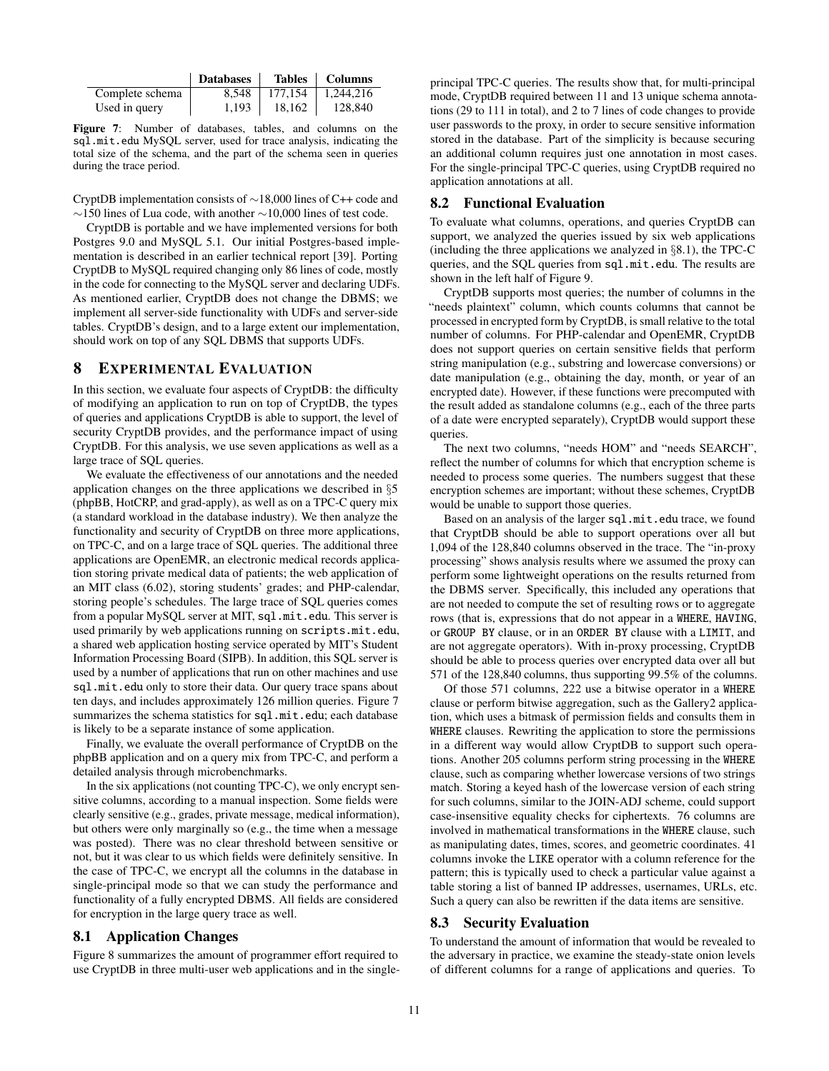|                 | <b>Databases</b> | <b>Tables</b> | <b>Columns</b> |
|-----------------|------------------|---------------|----------------|
| Complete schema | 8.548            | 177.154       | 1.244.216      |
| Used in query   | 1.193            | 18,162        | 128,840        |

Figure 7: Number of databases, tables, and columns on the sql.mit.edu MySQL server, used for trace analysis, indicating the total size of the schema, and the part of the schema seen in queries during the trace period.

CryptDB implementation consists of ∼18,000 lines of C++ code and ∼150 lines of Lua code, with another ∼10,000 lines of test code.

CryptDB is portable and we have implemented versions for both Postgres 9.0 and MySQL 5.1. Our initial Postgres-based implementation is described in an earlier technical report [\[39\]](#page-15-22). Porting CryptDB to MySQL required changing only 86 lines of code, mostly in the code for connecting to the MySQL server and declaring UDFs. As mentioned earlier, CryptDB does not change the DBMS; we implement all server-side functionality with UDFs and server-side tables. CryptDB's design, and to a large extent our implementation, should work on top of any SQL DBMS that supports UDFs.

### <span id="page-10-0"></span>8 EXPERIMENTAL EVALUATION

In this section, we evaluate four aspects of CryptDB: the difficulty of modifying an application to run on top of CryptDB, the types of queries and applications CryptDB is able to support, the level of security CryptDB provides, and the performance impact of using CryptDB. For this analysis, we use seven applications as well as a large trace of SQL queries.

We evaluate the effectiveness of our annotations and the needed application changes on the three applications we described in §[5](#page-8-0) (phpBB, HotCRP, and grad-apply), as well as on a TPC-C query mix (a standard workload in the database industry). We then analyze the functionality and security of CryptDB on three more applications, on TPC-C, and on a large trace of SQL queries. The additional three applications are OpenEMR, an electronic medical records application storing private medical data of patients; the web application of an MIT class (6.02), storing students' grades; and PHP-calendar, storing people's schedules. The large trace of SQL queries comes from a popular MySQL server at MIT, sql.mit.edu. This server is used primarily by web applications running on scripts.mit.edu, a shared web application hosting service operated by MIT's Student Information Processing Board (SIPB). In addition, this SQL server is used by a number of applications that run on other machines and use sql.mit.edu only to store their data. Our query trace spans about ten days, and includes approximately 126 million queries. Figure [7](#page-10-2) summarizes the schema statistics for sql.mit.edu; each database is likely to be a separate instance of some application.

Finally, we evaluate the overall performance of CryptDB on the phpBB application and on a query mix from TPC-C, and perform a detailed analysis through microbenchmarks.

In the six applications (not counting TPC-C), we only encrypt sensitive columns, according to a manual inspection. Some fields were clearly sensitive (e.g., grades, private message, medical information), but others were only marginally so (e.g., the time when a message was posted). There was no clear threshold between sensitive or not, but it was clear to us which fields were definitely sensitive. In the case of TPC-C, we encrypt all the columns in the database in single-principal mode so that we can study the performance and functionality of a fully encrypted DBMS. All fields are considered for encryption in the large query trace as well.

## <span id="page-10-3"></span>8.1 Application Changes

Figure [8](#page-11-0) summarizes the amount of programmer effort required to use CryptDB in three multi-user web applications and in the single<span id="page-10-2"></span>principal TPC-C queries. The results show that, for multi-principal mode, CryptDB required between 11 and 13 unique schema annotations (29 to 111 in total), and 2 to 7 lines of code changes to provide user passwords to the proxy, in order to secure sensitive information stored in the database. Part of the simplicity is because securing an additional column requires just one annotation in most cases. For the single-principal TPC-C queries, using CryptDB required no application annotations at all.

#### 8.2 Functional Evaluation

To evaluate what columns, operations, and queries CryptDB can support, we analyzed the queries issued by six web applications (including the three applications we analyzed in §[8.1\)](#page-10-3), the TPC-C queries, and the SQL queries from sql.mit.edu. The results are shown in the left half of Figure [9.](#page-11-1)

CryptDB supports most queries; the number of columns in the "needs plaintext" column, which counts columns that cannot be processed in encrypted form by CryptDB, is small relative to the total number of columns. For PHP-calendar and OpenEMR, CryptDB does not support queries on certain sensitive fields that perform string manipulation (e.g., substring and lowercase conversions) or date manipulation (e.g., obtaining the day, month, or year of an encrypted date). However, if these functions were precomputed with the result added as standalone columns (e.g., each of the three parts of a date were encrypted separately), CryptDB would support these queries.

The next two columns, "needs HOM" and "needs SEARCH", reflect the number of columns for which that encryption scheme is needed to process some queries. The numbers suggest that these encryption schemes are important; without these schemes, CryptDB would be unable to support those queries.

Based on an analysis of the larger sql.mit.edu trace, we found that CryptDB should be able to support operations over all but 1,094 of the 128,840 columns observed in the trace. The "in-proxy processing" shows analysis results where we assumed the proxy can perform some lightweight operations on the results returned from the DBMS server. Specifically, this included any operations that are not needed to compute the set of resulting rows or to aggregate rows (that is, expressions that do not appear in a WHERE, HAVING, or GROUP BY clause, or in an ORDER BY clause with a LIMIT, and are not aggregate operators). With in-proxy processing, CryptDB should be able to process queries over encrypted data over all but 571 of the 128,840 columns, thus supporting 99.5% of the columns.

Of those 571 columns, 222 use a bitwise operator in a WHERE clause or perform bitwise aggregation, such as the Gallery2 application, which uses a bitmask of permission fields and consults them in WHERE clauses. Rewriting the application to store the permissions in a different way would allow CryptDB to support such operations. Another 205 columns perform string processing in the WHERE clause, such as comparing whether lowercase versions of two strings match. Storing a keyed hash of the lowercase version of each string for such columns, similar to the JOIN-ADJ scheme, could support case-insensitive equality checks for ciphertexts. 76 columns are involved in mathematical transformations in the WHERE clause, such as manipulating dates, times, scores, and geometric coordinates. 41 columns invoke the LIKE operator with a column reference for the pattern; this is typically used to check a particular value against a table storing a list of banned IP addresses, usernames, URLs, etc. Such a query can also be rewritten if the data items are sensitive.

#### <span id="page-10-1"></span>8.3 Security Evaluation

To understand the amount of information that would be revealed to the adversary in practice, we examine the steady-state onion levels of different columns for a range of applications and queries. To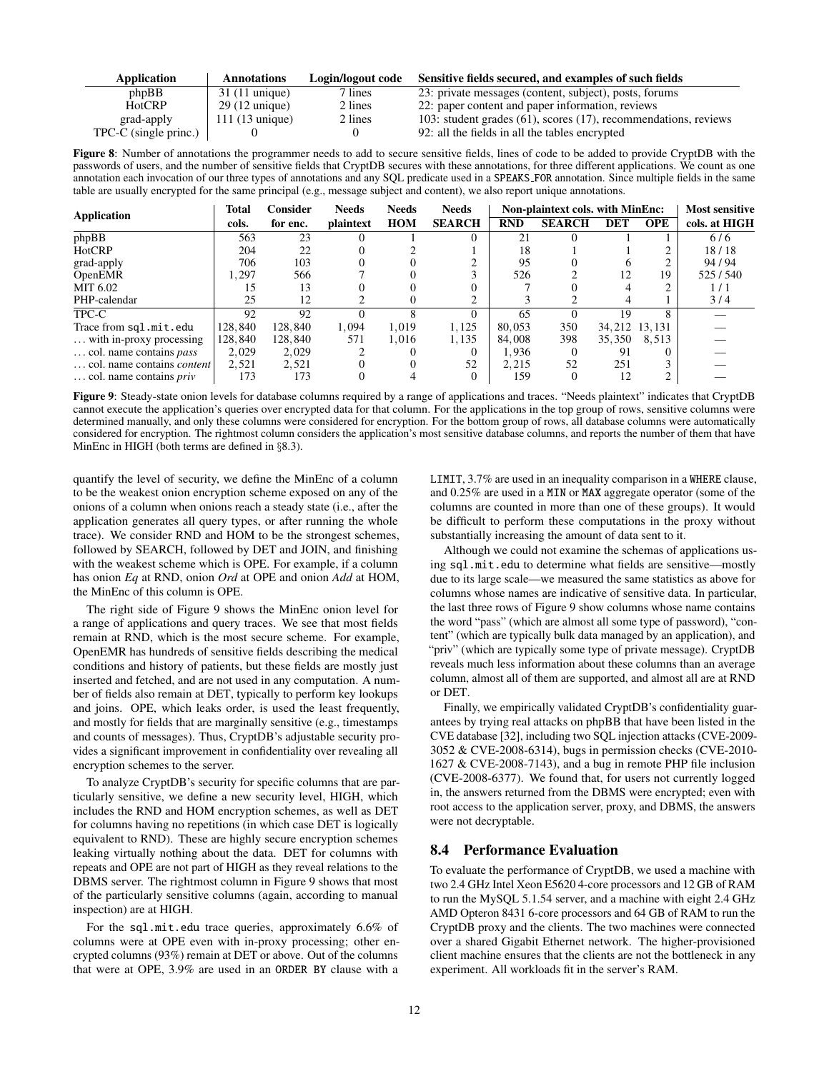| Application             | <b>Annotations</b>       | Login/logout code | Sensitive fields secured, and examples of such fields           |
|-------------------------|--------------------------|-------------------|-----------------------------------------------------------------|
| phpBB                   | $31(11)$ unique)         | 7 lines           | 23: private messages (content, subject), posts, forums          |
| <b>HotCRP</b>           | $29(12 \text{ unique})$  | 2 lines           | 22: paper content and paper information, reviews                |
| grad-apply              | $111(13 \text{ unique})$ | 2 lines           | 103: student grades (61), scores (17), recommendations, reviews |
| $TPC-C$ (single princ.) |                          |                   | 92: all the fields in all the tables encrypted                  |

Figure 8: Number of annotations the programmer needs to add to secure sensitive fields, lines of code to be added to provide CryptDB with the passwords of users, and the number of sensitive fields that CryptDB secures with these annotations, for three different applications. We count as one annotation each invocation of our three types of annotations and any SQL predicate used in a SPEAKS FOR annotation. Since multiple fields in the same table are usually encrypted for the same principal (e.g., message subject and content), we also report unique annotations.

| <b>Application</b>                      | Total   | <b>Needs</b><br>Consider<br><b>Needs</b><br><b>Needs</b><br>Non-plaintext cols. with MinEnc: |           |            |               | <b>Most sensitive</b> |               |               |            |               |
|-----------------------------------------|---------|----------------------------------------------------------------------------------------------|-----------|------------|---------------|-----------------------|---------------|---------------|------------|---------------|
|                                         | cols.   | for enc.                                                                                     | plaintext | <b>HOM</b> | <b>SEARCH</b> | <b>RND</b>            | <b>SEARCH</b> | <b>DET</b>    | <b>OPE</b> | cols. at HIGH |
| phpBB                                   | 563     | 23                                                                                           |           |            |               | 21                    |               |               |            | 6/6           |
| HotCRP                                  | 204     | 22                                                                                           |           |            |               | 18                    |               |               |            | 18/18         |
| grad-apply                              | 706     | 103                                                                                          |           |            |               | 95                    |               |               |            | 94/94         |
| OpenEMR                                 | .297    | 566                                                                                          |           |            |               | 526                   |               | 12            | 19         | 525/540       |
| MIT 6.02                                | 15      | 13                                                                                           |           |            |               |                       |               |               | ◠          | 1/1           |
| PHP-calendar                            | 25      | 12                                                                                           |           |            |               |                       |               |               |            | 3/4           |
| TPC-C                                   | 92      | 92                                                                                           |           |            | $\Omega$      | 65                    |               | 19            | 8          |               |
| Trace from sql.mit.edu                  | 128.840 | 128.840                                                                                      | 1.094     | 1.019      | 1,125         | 80.053                | 350           | 34.212 13.131 |            |               |
| with in-proxy processing                | 128,840 | 128,840                                                                                      | 571       | 1.016      | 1,135         | 84,008                | 398           | 35,350        | 8.513      |               |
| col. name contains <i>pass</i>          | 2.029   | 2.029                                                                                        |           |            |               | 1.936                 |               | 91            |            |               |
| col. name contains <i>content</i>       | 2.521   | 2.521                                                                                        |           |            | 52            | 2.215                 | 52            | 251           |            |               |
| $\ldots$ col. name contains <i>priv</i> | 173     | 173                                                                                          |           |            |               | 159                   |               | 12            |            |               |

<span id="page-11-1"></span>Figure 9: Steady-state onion levels for database columns required by a range of applications and traces. "Needs plaintext" indicates that CryptDB cannot execute the application's queries over encrypted data for that column. For the applications in the top group of rows, sensitive columns were determined manually, and only these columns were considered for encryption. For the bottom group of rows, all database columns were automatically considered for encryption. The rightmost column considers the application's most sensitive database columns, and reports the number of them that have MinEnc in HIGH (both terms are defined in §[8.3\)](#page-10-1).

quantify the level of security, we define the MinEnc of a column to be the weakest onion encryption scheme exposed on any of the onions of a column when onions reach a steady state (i.e., after the application generates all query types, or after running the whole trace). We consider RND and HOM to be the strongest schemes, followed by SEARCH, followed by DET and JOIN, and finishing with the weakest scheme which is OPE. For example, if a column has onion *Eq* at RND, onion *Ord* at OPE and onion *Add* at HOM, the MinEnc of this column is OPE.

The right side of Figure [9](#page-11-1) shows the MinEnc onion level for a range of applications and query traces. We see that most fields remain at RND, which is the most secure scheme. For example, OpenEMR has hundreds of sensitive fields describing the medical conditions and history of patients, but these fields are mostly just inserted and fetched, and are not used in any computation. A number of fields also remain at DET, typically to perform key lookups and joins. OPE, which leaks order, is used the least frequently, and mostly for fields that are marginally sensitive (e.g., timestamps and counts of messages). Thus, CryptDB's adjustable security provides a significant improvement in confidentiality over revealing all encryption schemes to the server.

To analyze CryptDB's security for specific columns that are particularly sensitive, we define a new security level, HIGH, which includes the RND and HOM encryption schemes, as well as DET for columns having no repetitions (in which case DET is logically equivalent to RND). These are highly secure encryption schemes leaking virtually nothing about the data. DET for columns with repeats and OPE are not part of HIGH as they reveal relations to the DBMS server. The rightmost column in Figure [9](#page-11-1) shows that most of the particularly sensitive columns (again, according to manual inspection) are at HIGH.

For the sql.mit.edu trace queries, approximately 6.6% of columns were at OPE even with in-proxy processing; other encrypted columns (93%) remain at DET or above. Out of the columns that were at OPE, 3.9% are used in an ORDER BY clause with a

<span id="page-11-0"></span>LIMIT, 3.7% are used in an inequality comparison in a WHERE clause, and 0.25% are used in a MIN or MAX aggregate operator (some of the columns are counted in more than one of these groups). It would be difficult to perform these computations in the proxy without substantially increasing the amount of data sent to it.

Although we could not examine the schemas of applications using sql.mit.edu to determine what fields are sensitive—mostly due to its large scale—we measured the same statistics as above for columns whose names are indicative of sensitive data. In particular, the last three rows of Figure [9](#page-11-1) show columns whose name contains the word "pass" (which are almost all some type of password), "content" (which are typically bulk data managed by an application), and "priv" (which are typically some type of private message). CryptDB reveals much less information about these columns than an average column, almost all of them are supported, and almost all are at RND or DET.

Finally, we empirically validated CryptDB's confidentiality guarantees by trying real attacks on phpBB that have been listed in the CVE database [\[32\]](#page-15-1), including two SQL injection attacks (CVE-2009- 3052 & CVE-2008-6314), bugs in permission checks (CVE-2010- 1627 & CVE-2008-7143), and a bug in remote PHP file inclusion (CVE-2008-6377). We found that, for users not currently logged in, the answers returned from the DBMS were encrypted; even with root access to the application server, proxy, and DBMS, the answers were not decryptable.

# 8.4 Performance Evaluation

To evaluate the performance of CryptDB, we used a machine with two 2.4 GHz Intel Xeon E5620 4-core processors and 12 GB of RAM to run the MySQL 5.1.54 server, and a machine with eight 2.4 GHz AMD Opteron 8431 6-core processors and 64 GB of RAM to run the CryptDB proxy and the clients. The two machines were connected over a shared Gigabit Ethernet network. The higher-provisioned client machine ensures that the clients are not the bottleneck in any experiment. All workloads fit in the server's RAM.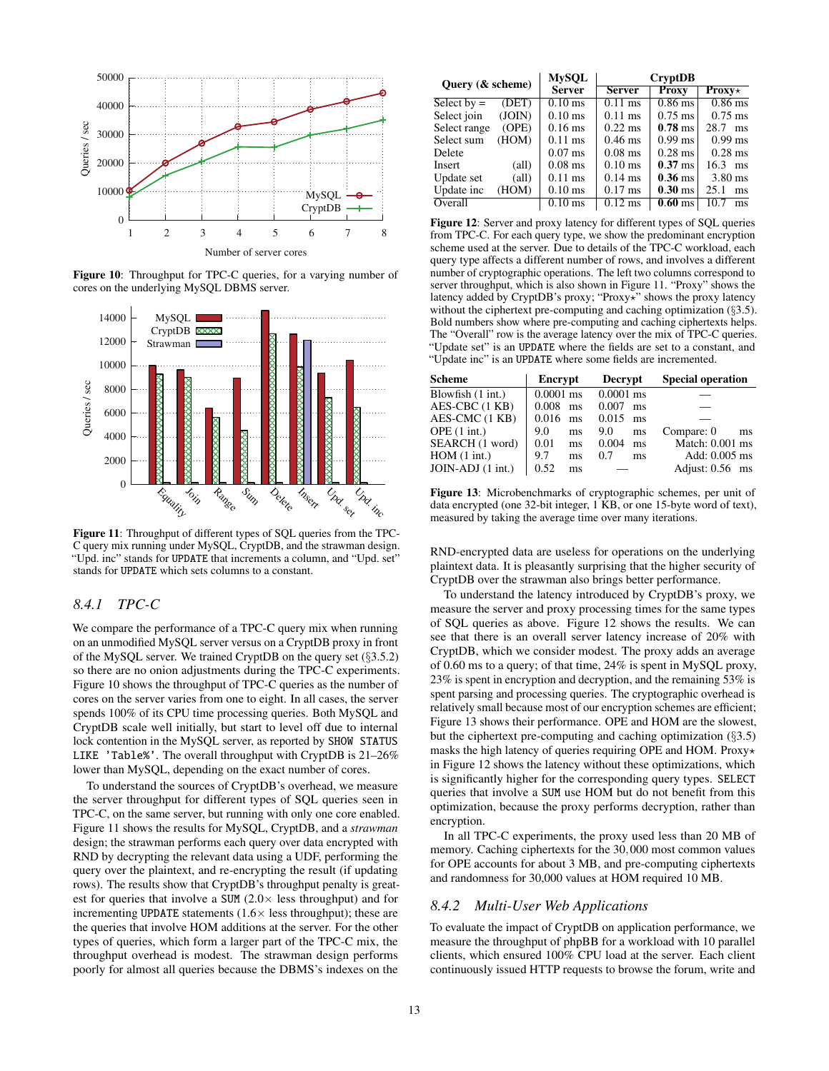

Figure 10: Throughput for TPC-C queries, for a varying number of cores on the underlying MySQL DBMS server.



Figure 11: Throughput of different types of SQL queries from the TPC-C query mix running under MySQL, CryptDB, and the strawman design. "Upd. inc" stands for UPDATE that increments a column, and "Upd. set" stands for UPDATE which sets columns to a constant.

# *8.4.1 TPC-C*

We compare the performance of a TPC-C query mix when running on an unmodified MySQL server versus on a CryptDB proxy in front of the MySQL server. We trained CryptDB on the query set (§[3.5.2\)](#page-7-1) so there are no onion adjustments during the TPC-C experiments. Figure [10](#page-12-0) shows the throughput of TPC-C queries as the number of cores on the server varies from one to eight. In all cases, the server spends 100% of its CPU time processing queries. Both MySQL and CryptDB scale well initially, but start to level off due to internal lock contention in the MySQL server, as reported by SHOW STATUS LIKE 'Table%'. The overall throughput with CryptDB is 21–26% lower than MySQL, depending on the exact number of cores.

To understand the sources of CryptDB's overhead, we measure the server throughput for different types of SQL queries seen in TPC-C, on the same server, but running with only one core enabled. Figure [11](#page-12-1) shows the results for MySQL, CryptDB, and a *strawman* design; the strawman performs each query over data encrypted with RND by decrypting the relevant data using a UDF, performing the query over the plaintext, and re-encrypting the result (if updating rows). The results show that CryptDB's throughput penalty is greatest for queries that involve a SUM  $(2.0 \times$  less throughput) and for incrementing UPDATE statements  $(1.6 \times$  less throughput); these are the queries that involve HOM additions at the server. For the other types of queries, which form a larger part of the TPC-C mix, the throughput overhead is modest. The strawman design performs poorly for almost all queries because the DBMS's indexes on the

<span id="page-12-2"></span>

| Query $(\&$ scheme) |                | <b>MvSOL</b>  | CryptDB       |                   |                        |  |  |
|---------------------|----------------|---------------|---------------|-------------------|------------------------|--|--|
|                     |                | <b>Server</b> | <b>Server</b> | <b>Proxy</b>      | ${\bf Prox}$ v $\star$ |  |  |
| Select by $=$       | (DET)          | $0.10$ ms     | $0.11$ ms     | $0.86$ ms         | $0.86$ ms              |  |  |
| Select join         | (JOIN)         | $0.10$ ms     | $0.11$ ms     | $0.75$ ms         | $0.75 \text{ ms}$      |  |  |
| Select range        | (OPE)          | $0.16$ ms     | $0.22$ ms     | $0.78$ ms         | 28.7<br>ms             |  |  |
| Select sum          | (HOM)          | $0.11$ ms     | $0.46$ ms     | $0.99$ ms         | $0.99$ ms              |  |  |
| Delete              |                | $0.07$ ms     | $0.08$ ms     | $0.28$ ms         | $0.28$ ms              |  |  |
| <b>Insert</b>       | $\text{(all)}$ | $0.08$ ms     | $0.10$ ms     | $0.37 \text{ ms}$ | 16.3<br>ms             |  |  |
| Update set          | $\text{(all)}$ | $0.11$ ms     | $0.14$ ms     | $0.36$ ms         | $3.80$ ms              |  |  |
| Update inc          | (HOM)          | $0.10$ ms     | $0.17$ ms     | $0.30$ ms         | 25.1<br>ms             |  |  |
| Overall             |                | $0.10$ ms     | $0.12$ ms     | $0.60$ ms         | 10.7<br>ms             |  |  |
|                     |                |               |               |                   |                        |  |  |

<span id="page-12-0"></span>Figure 12: Server and proxy latency for different types of SQL queries from TPC-C. For each query type, we show the predominant encryption scheme used at the server. Due to details of the TPC-C workload, each query type affects a different number of rows, and involves a different number of cryptographic operations. The left two columns correspond to server throughput, which is also shown in Figure [11.](#page-12-1) "Proxy" shows the latency added by CryptDB's proxy; "Proxy\*" shows the proxy latency without the ciphertext pre-computing and caching optimization (§[3.5\)](#page-6-1). Bold numbers show where pre-computing and caching ciphertexts helps. The "Overall" row is the average latency over the mix of TPC-C queries. "Update set" is an UPDATE where the fields are set to a constant, and "Update inc" is an UPDATE where some fields are incremented.

| <b>Scheme</b>               | Encrypt     | <b>Decrypt</b> | <b>Special operation</b> |
|-----------------------------|-------------|----------------|--------------------------|
| Blowfish $(1 \text{ int.})$ | $0.0001$ ms | $0.0001$ ms    |                          |
| AES-CBC (1 KB)              | 0.008<br>ms | 0.007<br>ms    |                          |
| AES-CMC (1 KB)              | 0.016<br>ms | 0.015<br>ms    |                          |
| OPE $(1 \text{ int.})$      | 9.0<br>ms   | 9.0<br>ms      | Compare: 0<br>ms         |
| SEARCH (1 word)             | 0.01<br>ms  | 0.004<br>ms    | Match: 0.001 ms          |
| HOM(1 int.)                 | 9.7<br>ms   | 0.7<br>ms      | Add: 0.005 ms            |
| $JOIN-ADI$ $(1 int.)$       | 0.52<br>ms  |                | Adjust: $0.56$ ms        |

<span id="page-12-3"></span><span id="page-12-1"></span>Figure 13: Microbenchmarks of cryptographic schemes, per unit of data encrypted (one 32-bit integer, 1 KB, or one 15-byte word of text), measured by taking the average time over many iterations.

RND-encrypted data are useless for operations on the underlying plaintext data. It is pleasantly surprising that the higher security of CryptDB over the strawman also brings better performance.

To understand the latency introduced by CryptDB's proxy, we measure the server and proxy processing times for the same types of SQL queries as above. Figure [12](#page-12-2) shows the results. We can see that there is an overall server latency increase of 20% with CryptDB, which we consider modest. The proxy adds an average of 0.60 ms to a query; of that time, 24% is spent in MySQL proxy, 23% is spent in encryption and decryption, and the remaining 53% is spent parsing and processing queries. The cryptographic overhead is relatively small because most of our encryption schemes are efficient; Figure [13](#page-12-3) shows their performance. OPE and HOM are the slowest, but the ciphertext pre-computing and caching optimization (§[3.5\)](#page-6-1) masks the high latency of queries requiring OPE and HOM. Proxy\* in Figure [12](#page-12-2) shows the latency without these optimizations, which is significantly higher for the corresponding query types. SELECT queries that involve a SUM use HOM but do not benefit from this optimization, because the proxy performs decryption, rather than encryption.

In all TPC-C experiments, the proxy used less than 20 MB of memory. Caching ciphertexts for the 30,000 most common values for OPE accounts for about 3 MB, and pre-computing ciphertexts and randomness for 30,000 values at HOM required 10 MB.

#### *8.4.2 Multi-User Web Applications*

To evaluate the impact of CryptDB on application performance, we measure the throughput of phpBB for a workload with 10 parallel clients, which ensured 100% CPU load at the server. Each client continuously issued HTTP requests to browse the forum, write and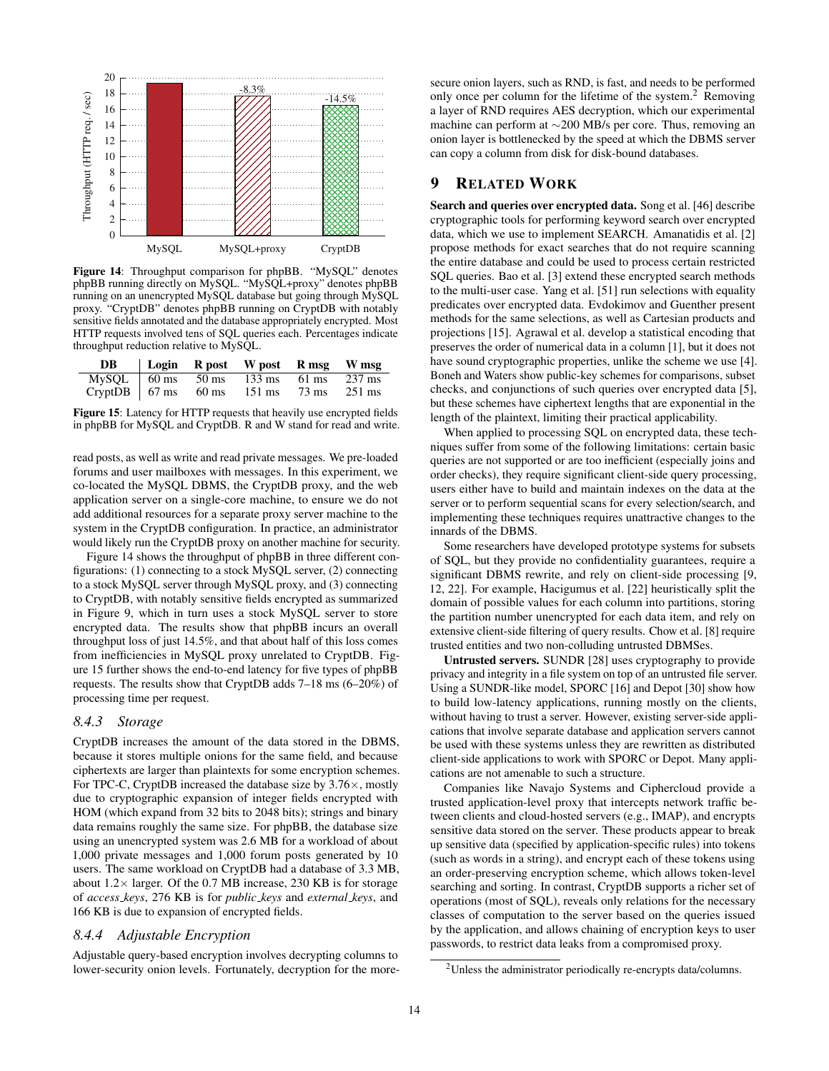

Figure 14: Throughput comparison for phpBB. "MySQL" denotes phpBB running directly on MySQL. "MySQL+proxy" denotes phpBB running on an unencrypted MySQL database but going through MySQL proxy. "CryptDB" denotes phpBB running on CryptDB with notably sensitive fields annotated and the database appropriately encrypted. Most HTTP requests involved tens of SQL queries each. Percentages indicate throughput reduction relative to MySQL.

| DB                                 |  | Login R post W post R msg W msg |       |        |
|------------------------------------|--|---------------------------------|-------|--------|
| $MySQL$   60 ms 50 ms 133 ms 61 ms |  |                                 |       | 237 ms |
| $CryptDB$   67 ms 60 ms            |  | $151 \text{ ms}$                | 73 ms | 251 ms |

Figure 15: Latency for HTTP requests that heavily use encrypted fields in phpBB for MySQL and CryptDB. R and W stand for read and write.

read posts, as well as write and read private messages. We pre-loaded forums and user mailboxes with messages. In this experiment, we co-located the MySQL DBMS, the CryptDB proxy, and the web application server on a single-core machine, to ensure we do not add additional resources for a separate proxy server machine to the system in the CryptDB configuration. In practice, an administrator would likely run the CryptDB proxy on another machine for security.

Figure [14](#page-13-1) shows the throughput of phpBB in three different configurations: (1) connecting to a stock MySQL server, (2) connecting to a stock MySQL server through MySQL proxy, and (3) connecting to CryptDB, with notably sensitive fields encrypted as summarized in Figure [9,](#page-11-1) which in turn uses a stock MySQL server to store encrypted data. The results show that phpBB incurs an overall throughput loss of just 14.5%, and that about half of this loss comes from inefficiencies in MySQL proxy unrelated to CryptDB. Figure [15](#page-13-2) further shows the end-to-end latency for five types of phpBB requests. The results show that CryptDB adds 7–18 ms (6–20%) of processing time per request.

#### *8.4.3 Storage*

CryptDB increases the amount of the data stored in the DBMS, because it stores multiple onions for the same field, and because ciphertexts are larger than plaintexts for some encryption schemes. For TPC-C, CryptDB increased the database size by  $3.76\times$ , mostly due to cryptographic expansion of integer fields encrypted with HOM (which expand from 32 bits to 2048 bits); strings and binary data remains roughly the same size. For phpBB, the database size using an unencrypted system was 2.6 MB for a workload of about 1,000 private messages and 1,000 forum posts generated by 10 users. The same workload on CryptDB had a database of 3.3 MB, about  $1.2 \times$  larger. Of the 0.7 MB increase, 230 KB is for storage of *access keys*, 276 KB is for *public keys* and *external keys*, and 166 KB is due to expansion of encrypted fields.

#### *8.4.4 Adjustable Encryption*

Adjustable query-based encryption involves decrypting columns to lower-security onion levels. Fortunately, decryption for the more-

secure onion layers, such as RND, is fast, and needs to be performed only once per column for the lifetime of the system.<sup>[2](#page-13-3)</sup> Removing a layer of RND requires AES decryption, which our experimental machine can perform at ∼200 MB/s per core. Thus, removing an onion layer is bottlenecked by the speed at which the DBMS server can copy a column from disk for disk-bound databases.

# <span id="page-13-0"></span>9 RELATED WORK

<span id="page-13-1"></span>Search and queries over encrypted data. Song et al. [\[46\]](#page-15-16) describe cryptographic tools for performing keyword search over encrypted data, which we use to implement SEARCH. Amanatidis et al. [\[2\]](#page-14-4) propose methods for exact searches that do not require scanning the entire database and could be used to process certain restricted SQL queries. Bao et al. [\[3\]](#page-14-5) extend these encrypted search methods to the multi-user case. Yang et al. [\[51\]](#page-15-23) run selections with equality predicates over encrypted data. Evdokimov and Guenther present methods for the same selections, as well as Cartesian products and projections [\[15\]](#page-15-24). Agrawal et al. develop a statistical encoding that preserves the order of numerical data in a column [\[1\]](#page-14-6), but it does not have sound cryptographic properties, unlike the scheme we use [\[4\]](#page-14-3). Boneh and Waters show public-key schemes for comparisons, subset checks, and conjunctions of such queries over encrypted data [\[5\]](#page-14-7), but these schemes have ciphertext lengths that are exponential in the length of the plaintext, limiting their practical applicability.

<span id="page-13-2"></span>When applied to processing SQL on encrypted data, these techniques suffer from some of the following limitations: certain basic queries are not supported or are too inefficient (especially joins and order checks), they require significant client-side query processing, users either have to build and maintain indexes on the data at the server or to perform sequential scans for every selection/search, and implementing these techniques requires unattractive changes to the innards of the DBMS.

Some researchers have developed prototype systems for subsets of SQL, but they provide no confidentiality guarantees, require a significant DBMS rewrite, and rely on client-side processing [\[9,](#page-14-8) [12,](#page-14-9) [22\]](#page-15-25). For example, Hacigumus et al. [\[22\]](#page-15-25) heuristically split the domain of possible values for each column into partitions, storing the partition number unencrypted for each data item, and rely on extensive client-side filtering of query results. Chow et al. [\[8\]](#page-14-10) require trusted entities and two non-colluding untrusted DBMSes.

Untrusted servers. SUNDR [\[28\]](#page-15-3) uses cryptography to provide privacy and integrity in a file system on top of an untrusted file server. Using a SUNDR-like model, SPORC [\[16\]](#page-15-4) and Depot [\[30\]](#page-15-5) show how to build low-latency applications, running mostly on the clients, without having to trust a server. However, existing server-side applications that involve separate database and application servers cannot be used with these systems unless they are rewritten as distributed client-side applications to work with SPORC or Depot. Many applications are not amenable to such a structure.

Companies like Navajo Systems and Ciphercloud provide a trusted application-level proxy that intercepts network traffic between clients and cloud-hosted servers (e.g., IMAP), and encrypts sensitive data stored on the server. These products appear to break up sensitive data (specified by application-specific rules) into tokens (such as words in a string), and encrypt each of these tokens using an order-preserving encryption scheme, which allows token-level searching and sorting. In contrast, CryptDB supports a richer set of operations (most of SQL), reveals only relations for the necessary classes of computation to the server based on the queries issued by the application, and allows chaining of encryption keys to user passwords, to restrict data leaks from a compromised proxy.

<span id="page-13-3"></span><sup>&</sup>lt;sup>2</sup>Unless the administrator periodically re-encrypts data/columns.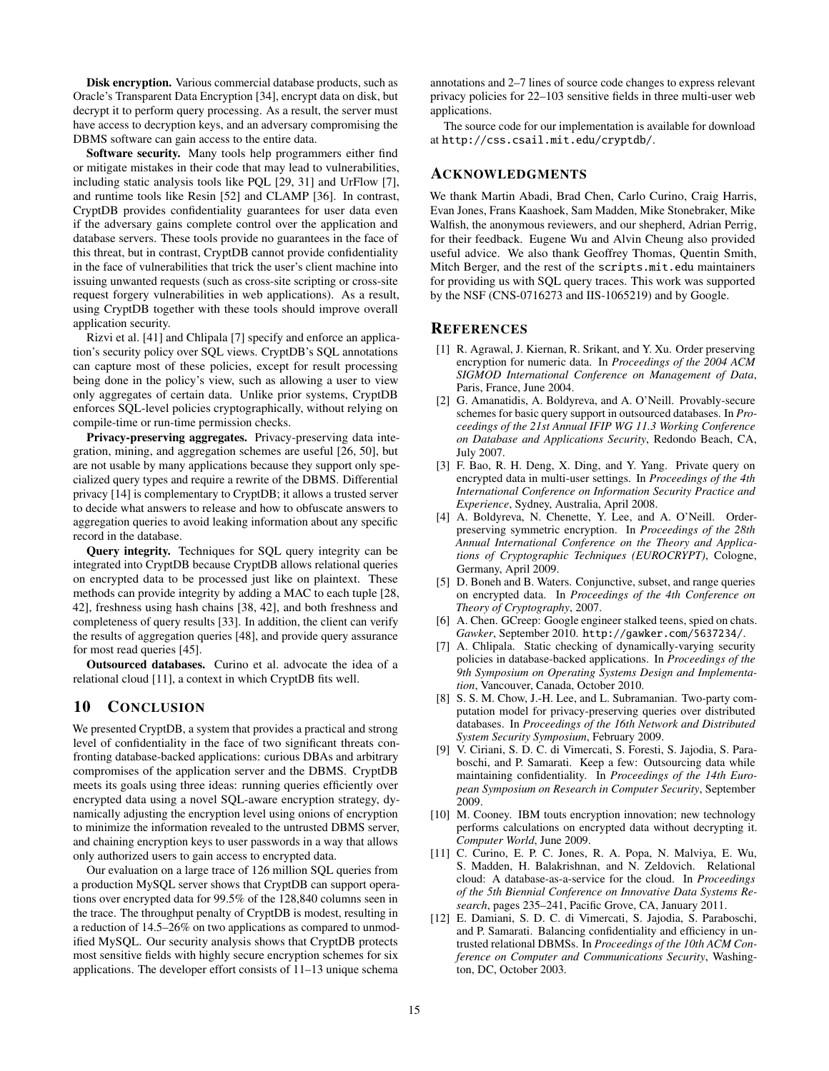Disk encryption. Various commercial database products, such as Oracle's Transparent Data Encryption [\[34\]](#page-15-26), encrypt data on disk, but decrypt it to perform query processing. As a result, the server must have access to decryption keys, and an adversary compromising the DBMS software can gain access to the entire data.

Software security. Many tools help programmers either find or mitigate mistakes in their code that may lead to vulnerabilities, including static analysis tools like PQL [\[29,](#page-15-27) [31\]](#page-15-28) and UrFlow [\[7\]](#page-14-11), and runtime tools like Resin [\[52\]](#page-15-29) and CLAMP [\[36\]](#page-15-30). In contrast, CryptDB provides confidentiality guarantees for user data even if the adversary gains complete control over the application and database servers. These tools provide no guarantees in the face of this threat, but in contrast, CryptDB cannot provide confidentiality in the face of vulnerabilities that trick the user's client machine into issuing unwanted requests (such as cross-site scripting or cross-site request forgery vulnerabilities in web applications). As a result, using CryptDB together with these tools should improve overall application security.

Rizvi et al. [\[41\]](#page-15-31) and Chlipala [\[7\]](#page-14-11) specify and enforce an application's security policy over SQL views. CryptDB's SQL annotations can capture most of these policies, except for result processing being done in the policy's view, such as allowing a user to view only aggregates of certain data. Unlike prior systems, CryptDB enforces SQL-level policies cryptographically, without relying on compile-time or run-time permission checks.

Privacy-preserving aggregates. Privacy-preserving data integration, mining, and aggregation schemes are useful [\[26,](#page-15-32) [50\]](#page-15-33), but are not usable by many applications because they support only specialized query types and require a rewrite of the DBMS. Differential privacy [\[14\]](#page-15-34) is complementary to CryptDB; it allows a trusted server to decide what answers to release and how to obfuscate answers to aggregation queries to avoid leaking information about any specific record in the database.

Query integrity. Techniques for SQL query integrity can be integrated into CryptDB because CryptDB allows relational queries on encrypted data to be processed just like on plaintext. These methods can provide integrity by adding a MAC to each tuple [\[28,](#page-15-3) [42\]](#page-15-35), freshness using hash chains [\[38,](#page-15-36) [42\]](#page-15-35), and both freshness and completeness of query results [\[33\]](#page-15-37). In addition, the client can verify the results of aggregation queries [\[48\]](#page-15-38), and provide query assurance for most read queries [\[45\]](#page-15-39).

Outsourced databases. Curino et al. advocate the idea of a relational cloud [\[11\]](#page-14-12), a context in which CryptDB fits well.

# <span id="page-14-2"></span>10 CONCLUSION

We presented CryptDB, a system that provides a practical and strong level of confidentiality in the face of two significant threats confronting database-backed applications: curious DBAs and arbitrary compromises of the application server and the DBMS. CryptDB meets its goals using three ideas: running queries efficiently over encrypted data using a novel SQL-aware encryption strategy, dynamically adjusting the encryption level using onions of encryption to minimize the information revealed to the untrusted DBMS server, and chaining encryption keys to user passwords in a way that allows only authorized users to gain access to encrypted data.

Our evaluation on a large trace of 126 million SQL queries from a production MySQL server shows that CryptDB can support operations over encrypted data for 99.5% of the 128,840 columns seen in the trace. The throughput penalty of CryptDB is modest, resulting in a reduction of 14.5–26% on two applications as compared to unmodified MySQL. Our security analysis shows that CryptDB protects most sensitive fields with highly secure encryption schemes for six applications. The developer effort consists of 11–13 unique schema

annotations and 2–7 lines of source code changes to express relevant privacy policies for 22–103 sensitive fields in three multi-user web applications.

The source code for our implementation is available for download at <http://css.csail.mit.edu/cryptdb/>.

# ACKNOWLEDGMENTS

We thank Martin Abadi, Brad Chen, Carlo Curino, Craig Harris, Evan Jones, Frans Kaashoek, Sam Madden, Mike Stonebraker, Mike Walfish, the anonymous reviewers, and our shepherd, Adrian Perrig, for their feedback. Eugene Wu and Alvin Cheung also provided useful advice. We also thank Geoffrey Thomas, Quentin Smith, Mitch Berger, and the rest of the scripts.mit.edu maintainers for providing us with SQL query traces. This work was supported by the NSF (CNS-0716273 and IIS-1065219) and by Google.

# **REFERENCES**

- <span id="page-14-6"></span>[1] R. Agrawal, J. Kiernan, R. Srikant, and Y. Xu. Order preserving encryption for numeric data. In *Proceedings of the 2004 ACM SIGMOD International Conference on Management of Data*, Paris, France, June 2004.
- <span id="page-14-4"></span>[2] G. Amanatidis, A. Boldyreva, and A. O'Neill. Provably-secure schemes for basic query support in outsourced databases. In *Proceedings of the 21st Annual IFIP WG 11.3 Working Conference on Database and Applications Security*, Redondo Beach, CA, July 2007.
- <span id="page-14-5"></span>[3] F. Bao, R. H. Deng, X. Ding, and Y. Yang. Private query on encrypted data in multi-user settings. In *Proceedings of the 4th International Conference on Information Security Practice and Experience*, Sydney, Australia, April 2008.
- <span id="page-14-3"></span>[4] A. Boldyreva, N. Chenette, Y. Lee, and A. O'Neill. Orderpreserving symmetric encryption. In *Proceedings of the 28th Annual International Conference on the Theory and Applications of Cryptographic Techniques (EUROCRYPT)*, Cologne, Germany, April 2009.
- <span id="page-14-7"></span>[5] D. Boneh and B. Waters. Conjunctive, subset, and range queries on encrypted data. In *Proceedings of the 4th Conference on Theory of Cryptography*, 2007.
- <span id="page-14-0"></span>[6] A. Chen. GCreep: Google engineer stalked teens, spied on chats. *Gawker*, September 2010. <http://gawker.com/5637234/>.
- <span id="page-14-11"></span>[7] A. Chlipala. Static checking of dynamically-varying security policies in database-backed applications. In *Proceedings of the 9th Symposium on Operating Systems Design and Implementation*, Vancouver, Canada, October 2010.
- <span id="page-14-10"></span>[8] S. S. M. Chow, J.-H. Lee, and L. Subramanian. Two-party computation model for privacy-preserving queries over distributed databases. In *Proceedings of the 16th Network and Distributed System Security Symposium*, February 2009.
- <span id="page-14-8"></span>[9] V. Ciriani, S. D. C. di Vimercati, S. Foresti, S. Jajodia, S. Paraboschi, and P. Samarati. Keep a few: Outsourcing data while maintaining confidentiality. In *Proceedings of the 14th European Symposium on Research in Computer Security*, September 2009.
- <span id="page-14-1"></span>[10] M. Cooney. IBM touts encryption innovation; new technology performs calculations on encrypted data without decrypting it. *Computer World*, June 2009.
- <span id="page-14-12"></span>[11] C. Curino, E. P. C. Jones, R. A. Popa, N. Malviya, E. Wu, S. Madden, H. Balakrishnan, and N. Zeldovich. Relational cloud: A database-as-a-service for the cloud. In *Proceedings of the 5th Biennial Conference on Innovative Data Systems Research*, pages 235–241, Pacific Grove, CA, January 2011.
- <span id="page-14-9"></span>[12] E. Damiani, S. D. C. di Vimercati, S. Jajodia, S. Paraboschi, and P. Samarati. Balancing confidentiality and efficiency in untrusted relational DBMSs. In *Proceedings of the 10th ACM Conference on Computer and Communications Security*, Washington, DC, October 2003.